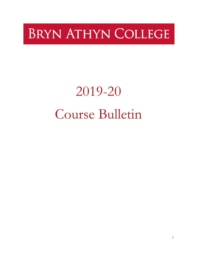# **BRYN ATHYN COLLEGE**

# 2019-20 Course Bulletin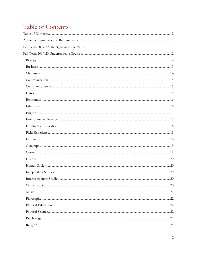# <span id="page-1-0"></span>Table of Contents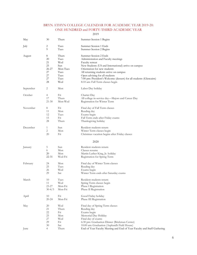#### BRYN ATHYN COLLEGE CALENDAR FOR ACADEMIC YEAR 2019-20: ONE HUNDRED and FORTY-THIRD ACADEMIC YEAR

#### 2019

| May       | 30             | Thurs    | Summer Session 1 Begins                                                 |
|-----------|----------------|----------|-------------------------------------------------------------------------|
| July      | 2              | Tues     | Summer Session 1 Ends                                                   |
|           | 9              | Tues     | Summer Session 2 Begins                                                 |
| August    | 8              | Thurs    | Summer Session 2 Ends                                                   |
|           | 20             | Tues     | Administration and Faculty meetings                                     |
|           | 21             | Wed      | Faculty retreat                                                         |
|           | 25             | Sun      | New Students (US and International) arrive on campus                    |
|           | $26 - 27$      | Mon-Tues | Orientation for new students                                            |
|           | 27             | Tues     | All returning students arrive on campus                                 |
|           | 27             | Tues     | Open advising for all students                                          |
|           | 27             | Tues     | 7:00 pm: President's Welcome (dessert) for all students (Glencairn)     |
|           | 28             | Wed      | 8:10 am: Fall Term classes begin                                        |
| September | 2              | Mon      |                                                                         |
|           |                |          | Labor Day holiday                                                       |
| October   | 4              | Fri      | Charter Day                                                             |
|           | 17             | Thurs    | All college in-service day—Majors and Career Day                        |
|           | 21-30          | Mon-Wed  | Registration for Winter Term                                            |
| November  | 8              | Fri      | Final day of Fall Term classes                                          |
|           | 11             | Mon      | Reading day                                                             |
|           | 12             | Tues     | Exams begin                                                             |
|           | 15             | Fri      | Fall Term ends after Friday exams                                       |
|           | 28             | Thurs    | Thanksgiving holiday                                                    |
|           |                |          |                                                                         |
| December  | 1              | Sun      | Resident students return                                                |
|           | 2              | Mon      | Winter Term classes begin                                               |
|           | 20             | Fri      | Christmas vacation begins after Friday classes                          |
|           |                |          | 2020                                                                    |
| January   | 5              | Sun      | Resident students return                                                |
|           | 6              | Mon      | Classes resume                                                          |
|           | 20             | Mon      | Martin Luther King, Jr. holiday                                         |
|           | 22-31          | Wed-Fri  | Registration for Spring Term                                            |
|           |                |          |                                                                         |
| February  | 24             | Mon      | Final day of Winter Term classes                                        |
|           | 25             | Tues     | Reading day                                                             |
|           | 26             | Wed      | Exams begin                                                             |
|           | 29             | Sat      | Winter Term ends after Saturday exams                                   |
| March     | 10             | Tues     | Resident students return                                                |
|           | 11             | Wed      | Spring Term classes begin                                               |
|           | $23 - 27$      | Mon-Fri  | Phase I Registration                                                    |
|           | $30-4/3$       | Mon-Fri  | Phase II Registration                                                   |
| April     | 10             | Fri      | Good Friday holiday                                                     |
|           | $20 - 24$      | Mon-Fri  | Phase III Registration                                                  |
| May       | 20             | Wed      | Final day of Spring Term classes                                        |
|           | 21             | Thurs    | Reading day                                                             |
|           | 22             | Fri      | Exams begin                                                             |
|           | 25             | Mon      | Memorial Day Holiday                                                    |
|           | 27             | Wed      |                                                                         |
|           |                |          | Final day of exams                                                      |
|           | 29             | Fri      | 6:30 pm: Graduation Dinner (Brickman Center)                            |
|           | 30             | Sat      | 10:00 am: Graduation (Asplundh Field House)                             |
| June      | $\overline{4}$ | Thurs    | End of Year Faculty Meeting and End of Year Faculty and Staff Gathering |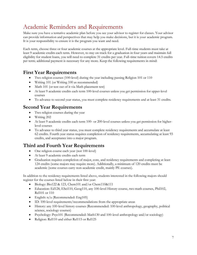# <span id="page-6-0"></span>Academic Reminders and Requirements

Make sure you have a tentative academic plan before you see your advisor to register for classes. Your advisor can provide information and perspectives that may help you make decisions, but it is your academic program. It is your responsibility to ensure it is the program you want and need.

Each term, choose three or four academic courses at the appropriate level. Full-time students must take at least 9 academic credits each term. However, to stay on track for a graduation in four years and maintain full eligibility for student loans, you will need to complete 31 credits per year. Full-time tuition covers 14.5 credits per term; additional payment is necessary for any more. Keep the following requirements in mind:

# **First Year Requirements**

- Two religion courses (100-level) during the year including passing Religion 101 or 110
- Writing 101 (or Writing 100 as recommended)
- Math 101 (or test out of it via Math placement test)
- At least 9 academic credits each term 100-level courses unless you get permission for upper-level courses
- To advance to second year status, you must complete residency requirements and at least 31 credits.

# **Second Year Requirements**

- Two religion courses during the year
- Writing 202
- At least 9 academic credits each term 100- or 200-level courses unless you get permission for higherlevel courses
- To advance to third year status, you must complete residency requirements and accumulate at least 62 credits. Fourth year status requires completion of residency requirements, accumulating at least 93 credits, and acceptance into a major program.

# **Third and Fourth Year Requirements**

- One religion course each year (not 100-level)
- At least 9 academic credits each term
- Graduation requires completion of major, core, and residency requirements and completing at least 124 credits (some majors may require more). Additionally, a minimum of 120 credits must be academic (some courses carry non-academic credit, mainly PE courses).

In addition to the residency requirements listed above, students interested in the following majors should register for the courses listed below in their first year:

- Biology: Bio122 & 123, Chem101 and/or Chem110&111
- Education: Ed128, ESci110, Geog110, any 100-level History course, two math courses, Phil102, Rel101 or 110
- English: n/a (Recommended: Eng105)
- ID: 100-level requirements/recommendations from the appropriate areas
- History: any 100-level history courses (Recommended: 100-level anthropology, geography, political science, sociology courses)
- Psychology: Psyc101 (Recommended: Math130 and 100-level anthropology and/or sociology)
- Religion: Rel110 and either Rel115 or Rel125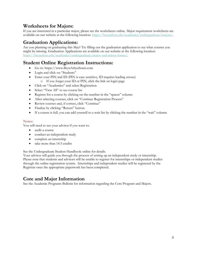# **Worksheets for Majors:**

If you are interested in a particular major, please see the worksheets online. Major requirement worksheets are available on our website at the following location: [https://brynathyn.edu/academics/undergraduate/majors/.](https://brynathyn.edu/academics/undergraduate/majors/)

# **Graduation Applications:**

Are you planning on graduating this May? Try filling out the graduation application to see what courses you might be missing. Graduation Applications are available on our website at the following location: [https://brynathyn.edu/academics/undergraduate/major-and-minor-forms/.](https://brynathyn.edu/academics/undergraduate/major-and-minor-forms/)

# **Student Online Registration Instructions:**

- Go to: https://www.BrynAthynSonis.com
- Login and click on "Students"
- Enter your PIN and ID (PIN is case sensitive, ID requires leading zeroes) o If you forget your ID or PIN, click the link on login page
- Click on "Academics" and select Registration
- Select "View All" to see course list
- Register for a course by clicking on the number in the "spaces" column
- After selecting courses, click on "Continue Registration Process"
- Review courses and, if correct, click "Continue"
- Finalize by clicking "Return" button.
- If a course is full, you can add yourself to a wait list by clicking the number in the "wait" column

#### Notes:

You will need to see your advisor if you want to:

- audit a course
- conduct an independent study
- complete an internship
- take more than 14.5 credits

See the Undergraduate Student Handbook online for details.

Your advisor will guide you through the process of setting up an independent study or internship. Please note that students and advisors will be unable to register for internships or independent studies through the online registration system. Internships and independent studies will be registered by the Registrar once the appropriate paperwork has been completed.

# **Core and Major Information**

See the Academic Programs Bulletin for information regarding the Core Program and Majors.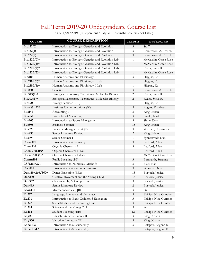# Fall Term 2019-20 Undergraduate Course List

| As of 4/21/2019. (Independent Study and Internship courses not listed). |  |  |
|-------------------------------------------------------------------------|--|--|
|                                                                         |  |  |

<span id="page-8-0"></span>

| <b>COURSE</b>    | <b>COURSE DESCRIPTION</b>                           | <b>CREDITS</b>          | <b>INSTRUCTOR</b>      |
|------------------|-----------------------------------------------------|-------------------------|------------------------|
| Bio122(0)        | Introduction to Biology: Genetics and Evolution     | 3                       | Staff                  |
| Bio122(1)        | Introduction to Biology: Genetics and Evolution     | 3                       | Bryntesson, A. Fredrik |
| Bio122(2)        | Introduction to Biology: Genetics and Evolution     | 3                       | Bryntesson, A. Fredrik |
| $Bio122L(0)*$    | Introduction to Biology: Genetics and Evolution Lab | $\mathbf{1}$            | McMackin, Grace Rose   |
| $Bio122L(1)$ *   | Introduction to Biology: Genetics and Evolution Lab | $\mathbf{1}$            | McMackin, Grace Rose   |
| $Bio122L(2)*$    | Introduction to Biology: Genetics and Evolution Lab | 1                       | Evans, Stella R.       |
| Bio122L(3)*      | Introduction to Biology: Genetics and Evolution Lab | $\mathbf{1}$            | McMackin, Grace Rose   |
| <b>Bio210</b>    | Human Anatomy and Physiology I                      | 3                       | Higgins, Ed            |
| Bio210L(0)*      | Human Anatomy and Physiology I Lab                  | $\mathbf{1}$            | Higgins, Ed            |
| $Bio210L(1)*$    | Human Anatomy and Physiology I Lab                  | $\mathbf{1}$            | Higgins, Ed            |
| <b>Bio230</b>    | Genetics                                            | $\overline{\mathbf{3}}$ | Bryntesson, A. Fredrik |
| Bio373(0)*       | Biological Laboratory Techniques: Molecular Biology | 2                       | Evans, Stella R.       |
| Bio373(1)*       | Biological Laboratory Techniques: Molecular Biology | 2                       | Evans, Stella R.       |
| <b>Bio490</b>    | Biology Seminar I (IL)                              | $\mathbf{1}$            | Higgins, Ed            |
| Bus/Wrt220       | <b>Business Communications (W)</b>                  | 3                       | Rogers, Elizabeth      |
| <b>Bus141</b>    | Accounting I                                        | 3                       | King, Ethan            |
| <b>Bus254</b>    | Principles of Marketing                             | $\mathfrak{Z}$          | Swiski, Mark           |
| <b>Bus267</b>    | Introduction to Sports Management                   | 3                       | Shute, Dick            |
| <b>Bus305</b>    | <b>Business Seminar</b>                             | 1.5                     | King, Ethan            |
| <b>Bus320</b>    | Financial Management (QR)                           | 3                       | Waltrich, Christopher  |
| <b>Bus493</b>    | Senior Literature Review                            | 2                       | King, Ethan            |
| <b>Bus494</b>    | Senior Seminar I                                    | 1                       | Synnestvedt, Dan       |
| Chem101          | Introduction to Chemistry                           | 3                       | Bedford, Allen         |
| Chem210          | Organic Chemistry I                                 | 3                       | Bedford, Allen         |
| Chem210 $L(0)*$  | Organic Chemistry I -Lab                            | $\mathbf{1}$            | Bedford, Allen         |
| Chem210 $L(1)$ * | Organic Chemistry I -Lab                            | $\mathbf{1}$            | McMackin, Grace Rose   |
| Comm105          | Public Speaking (PP)                                | 3                       | Bernhardt, Suzanne     |
| CS/Math321       | Introduction to Numerical Methods                   | 3                       | Blair, Max             |
| <b>CSci105</b>   | Introduction to Computer Systems                    | 3                       | Simonetti, Neil        |
| Dan160/260/360+  | Dance Ensemble (EEc)                                | 1.5                     | Bostock, Jessica       |
| Dan240           | Creative Movement and the Young Child               | 1.5                     | Bostock, Jessica       |
| Dan332           | Choreography & Composition                          | 3                       | Bostock, Jessica       |
| Dan493           | Senior Literature Review                            | $\mathbf{2}$            | Bostock, Jessica       |
| Econ131          | Macroeconomics (QR)                                 | 3                       | Staff                  |
| Ed217            | Language, Literacy, and Numeracy                    | $\overline{\mathbf{3}}$ | Phillips, Nina Gunther |
| Ed271            | Introduction to Early Childhood Education           | $\mathfrak{Z}$          | Phillips, Nina Gunther |
| Ed322            | Social Studies and the Young Child                  | $\mathfrak{Z}$          | Phillips, Nina Gunther |
| Ed324            | Science and the Young Child                         | 3                       | Staff,                 |
| Ed402            | Student Teaching (EE)                               | 12                      | Phillips, Nina Gunther |
| Eng221           | English Literature Survey II                        | $\mathfrak{Z}$          | King, Kristin          |
| <b>Eng360</b>    | Victorian Literature (IL)                           | $\mathfrak{Z}$          | King, Kristin          |
| EnSci105         | Introduction to Sustainability                      | 3                       | Potapov, Eugene R.     |
| EnSci105L*       | Introduction to Sustainability                      | $\mathbf{1}$            | Potapov, Eugene R.     |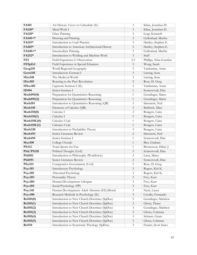| <b>FA101</b>   | Art History: Caves to Cathedrals (IL)          | 3                       | Kline, Jonathan D.     |
|----------------|------------------------------------------------|-------------------------|------------------------|
| FA120*         | Metal Work I                                   | 3                       | Kline, Jonathan D.     |
| FA128*         | Glass Painting                                 | 3                       | Leap, Kenneth          |
| FA140+*        | Drawing and Painting                           | 3                       | Gyllenhaal, Martha     |
| FA155*         | Introduction to Craft Practice                 | 3                       | Hartley, Stephen E.    |
| FA205*         | Introduction to American Architectural History | 3                       | Hartley, Stephen E.    |
| $FA240+*$      | Intermediate Painting                          | 3                       | Gyllenhaal, Martha     |
| FA252*         | Introduction to Welding and Machine Work       | 3                       | Staff                  |
| FE1            | Field Experience I: Observation                | 2.5                     | Phillips, Nina Gunther |
| FESpEd         | Field Experience in Special Eduation           | 3                       | Wong, Sarah            |
| Geog110        | World Regional Geography                       | 3                       | Yardumian, Aram        |
| Germ101        | Introductory German I                          | 3                       | Lawing, Sean           |
| Hist248        | The Medieval World                             | 3                       | Lawing, Sean           |
| <b>Hist305</b> | Reacting to the Past: Revolution               | 3                       | Rose, D. Greg          |
| <b>HSoc401</b> | Capstone Seminar I (IL)                        | 3                       | Yardumian, Aram        |
| ID494          | Senior Seminar I                               | $\mathbf{1}$            | Synnestvedt, Dan       |
| Math095(0)     | Preparation for Quantitative Reasoning         | $\mathbf{1}$            | Genzlinger, Maret      |
| Math095(2)     | Preparation for Quantitative Reasoning         | $\mathbf{1}$            | Genzlinger, Maret      |
| Math101        | Introduction to Quantitative Reasoning (QR)    | 3                       | Simonetti, Neil        |
| Math140        | Elements of Calculus (QR)                      | 3                       | Bedford, Allen         |
| Math $150(0)$  | Calculus I                                     | 3                       | Bongers, Caira         |
| Math150(1)     | Calculus I                                     | 3                       | Bongers, Caira         |
| Math150L(0)    | Calculus I Lab                                 | $\mathbf{1}$            | Bongers, Caira         |
| Math150L(1)    | Calculus I Lab                                 | $\mathbf{1}$            | Bongers, Caira         |
| Math330        | Introduction to Probability Theory             | 3                       | Bongers, Caira         |
| Math493        | Senior Literature Review                       | $\overline{2}$          | Simonetti, Neil        |
| Math494        | Senior Seminar I                               | $\mathbf{1}$            | Synnestvedt, Dan       |
| <b>Mus100</b>  | College Chorale                                | $\mathbf{1}$            | Bier, Graham           |
| <b>PE112</b>   | Team Sports for Fun                            | 1                       | Bryntesson, Hilary J.  |
| Phil/PS220     | Political Thought (Civil)                      | 3                       | Synnestvedt, Dan       |
| <b>Phil102</b> | Introduction to Philosophy (Worldview)         | 3                       | Latta, Marcy           |
| <b>Phil493</b> | Senior Literature Review                       | $\mathbf{2}$            | Synnestvedt, Dan       |
| <b>PSci211</b> | Comparative Government (Civil)                 | 3                       | Rose, D. Greg          |
| Psyc101        | <b>Introductory Psychology</b>                 | 3                       | Rogers, Kiri K.        |
| Psyc201        | Abnormal Psychology                            | 3                       | Rogers, Kiri K.        |
| Psyc203        | Personality Theory                             | $\overline{\mathbf{3}}$ | Frey, Kurt             |
| Psyc204        | Human Development: Lifespan                    | 3                       | Frey, Kurt             |
| Psyc205        | Social Psychology (PP)                         | 3                       | Frey, Kurt             |
| Psyc341        | Human Development: Adult Altruism (EE)(Moral)  | 3                       | Nash, Laura            |
| Psyc490        | Research Methods in Psychology (IL)            | $\mathfrak{Z}$          | Cavallo, Fernando      |
| Rel101(0)      | Introduction to New Church Doctrines (SpDoc)   | 3                       | Genzlinger, Matthew    |
| Rel101(1)      | Introduction to New Church Doctrines (SpDoc)   | $\mathfrak{Z}$          | Glenn, Thane           |
| Rel101(2)      | Introduction to New Church Doctrines (SpDoc)   | 3                       | Genzlinger, Matthew    |
| Rel101(3)      | Introduction to New Church Doctrines (SpDoc)   | $\mathfrak{Z}$          | Glenn, Coleman         |
| Rel101(4)      | Introduction to New Church Doctrines (SpDoc)   | 3                       | Schnarr, Grant         |
| Rel101(5)      | Introduction to New Church Doctrines (SpDoc)   | 3                       | Glenn, Coleman         |
| <b>Rel110</b>  | Introduction to Systematic Theology (SpDoc)    | $\mathfrak{Z}$          | Frazier, Scott Innes   |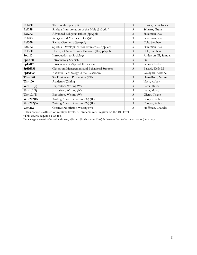| <b>Rel220</b>     | The Torah (SpScript)                             | $\mathfrak{Z}$ | Frazier, Scott Innes |
|-------------------|--------------------------------------------------|----------------|----------------------|
| <b>Rel225</b>     | Spiritual Interpretation of the Bible (SpScript) | 3              | Schnarr, Grant       |
| <b>Rel272</b>     | Advanced Religious Ethics (SpAppl)               | 3              | Silverman, Ray       |
| <b>Rel273</b>     | Religion and Marriage (Doc)(W)                   | 3              | Silverman, Ray       |
| <b>Rel330</b>     | Sacred Geometry (SpAppl)                         | 3              | Cole, Stephen        |
| <b>Rel372</b>     | Spiritual Development for Educators (Applied)    | 3              | Silverman, Ray       |
| <b>Rel380</b>     | History of New Church Doctrine (IL) (SpAppl)     | 3              | Cole, Stephen        |
| Soc110            | Introduction to Sociology                        | 3              | Anderson III, Samuel |
| Span101           | Introductory Spanish I                           | $\mathfrak{Z}$ | Staff                |
| SpEd111           | Introduction to Special Education                | 3              | Simons, India        |
| SpEd331           | Classroom Management and Behavioral Support      | 3              | Ballard, Kelly M.    |
| SpEd334           | Assistive Technology in the Classroom            | $\mathbf{1}$   | Goldynia, Kristine   |
| Thea120           | Set Design and Production (EE)                   | 3              | Haus-Roth, Naomi     |
| Writ100           | Academic Writing                                 | 3              | Nash, Abbey          |
| Writ101(0)        | Expository Writing (W)                           | 3              | Latta, Marcy         |
| Writ101(1)        | Expository Writing (W)                           | 3              | Latta, Marcy         |
| Writ101(2)        | Expository Writing (W)                           | 3              | Glenn, Thane         |
| <b>Writ202(0)</b> | Writing About Literature (W) (IL)                | 3              | Cooper, Robin        |
| Writ202(3)        | Writing About Literature (W) (IL)                | 3              | Cooper, Robin        |
| Writ212           | Creative Nonfiction Writing (W)                  | 3              | Hoffman, Chandra     |

+This course is offered on multiple levels. All students must register on the 100 level.

\*This course requires a lab fee.

*The College administration will make every effort to offer the courses listed, but reserves the right to cancel courses if necessary.*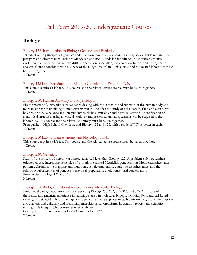# Fall Term 2019-20 Undergraduate Courses

# <span id="page-11-1"></span><span id="page-11-0"></span>**Biology**

#### Biology 122. Introduction to Biology: Genetics and Evolution.

Introduction to principles of genetics and evolution; one of a two-course gateway series that is required for prospective biology majors. Includes Mendelian and non-Mendelian inheritance, quantitative genetics, evolution, natural selection, genetic drift, kin selection, speciation, molecular evolution, and phylogenetic analysis. Course concludes with a survey of the Kingdoms of life. This course and the related laboratory must be taken together.

3 Credits.

#### Biology 122 Lab. Introduction to Biology: Genetics and Evolution Lab.

This course requires a lab fee. This course and the related lecture course must be taken together. 1 Credit.

#### Biology 210. Human Anatomy and Physiology I.

First trimester of a two-trimester sequence dealing with the structure and function of the human body and mechanisms for maintaining homeostasis within it. Includes the study of cells, tissues, fluid and electrolyte balance, acid-base balance and integumentary, skeletal, muscular and nervous systems. Identification of anatomical structures using a "virtual" cadaver and preserved animal specimens will be required in the laboratory. This course and the related laboratory must be taken together.

Prerequisites: High School Chemistry and Biology 122 and 123, with a grade of "C" or better in each. 3 Credits.

#### Biology 210 Lab. Human Anatomy and Physiology I Lab.

This course requires a lab fee. This course and the related lecture course must be taken together. 1 Credit.

#### Biology 230. Genetics.

Study of the process of heredity at a more advanced level than Biology 122. A problem-solving, seminaroriented course integrating principles of evolution, classical Mendelian genetics, non-Mendelian inheritance patterns, chromosome mapping and mutations, sex determination, extra nuclear inheritance, and the following subcategories of genetics: behavioral, population, evolutionary and conservation. Prerequisites: Biology 122 and 123. 3 Credits.

#### Biology 373. Biological Laboratory Techniques: Molecular Biology.

Junior level biology laboratory course supporting Biology 230, 232, 310, 315, and 355. A mixture of theoretical and practical experience in techniques used in molecular biology, including PCR and cell-based cloning, nucleic acid hybridization, genomic structure analysis, proteomics, bioinformatics, protein expression and analysis, and culturing and identifying microbiological organisms. Laboratory reports and scientific writing skills integral. This course requires a lab fee.

Co-requisite or prerequisite: Biology 230 and Biology 232.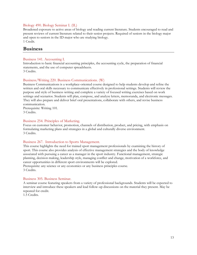#### Biology 490. Biology Seminar I. (IL)

Broadened exposure to active areas of biology and reading current literature. Students encouraged to read and present reviews of current literature related to their senior projects. Required of seniors in the biology major and open to seniors in the ID major who are studying biology. 1 Credit.

#### <span id="page-12-0"></span>**Business**

#### Business 141. Accounting I.

Introduction to basic financial accounting principles, the accounting cycle, the preparation of financial statements, and the use of computer spreadsheets. 3 Credits.

#### Business/Writing 220. Business Communications. (W)

Business Communications is a workplace-oriented course designed to help students develop and refine the written and oral skills necessary to communicate effectively in professional settings. Students will review the purpose and style of business writing and complete a variety of focused writing exercises based on work settings and scenarios. Students will plan, compose, and analyze letters, memoranda, and electronic messages. They will also prepare and deliver brief oral presentations, collaborate with others, and revise business communication.

Prerequisite: Writing 101. 3 Credits.

#### Business 254. Principles of Marketing.

Focus on customer behavior, promotion, channels of distribution, product, and pricing, with emphasis on formulating marketing plans and strategies in a global and culturally diverse environment. 3 Credits.

#### Business 267. Introduction to Sports Management.

This course highlights the need for trained sport management professionals by examining the history of sport. This course also provides analysis of effective management strategies and the body of knowledge associated with pursuing a career as a manager in the sport industry. Functional management, strategic planning, decision making, leadership style, managing conflict and change, motivation of a workforce, and career opportunities in different sport environments will be explored.

Prerequisite: any science or any economics or any business principles course. 3 Credits.

#### Business 305. Business Seminar.

A seminar course featuring speakers from a variety of professional backgrounds. Students will be expected to interview and introduce these speakers and lead follow-up discussions on the material they present. May be repeated for credit.

1.5 Credits.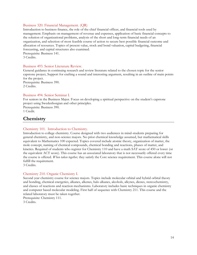#### Business 320. Financial Management. (QR)

Introduction to business finance, the role of the chief financial officer, and financial tools used by management. Emphasis on management of revenue and expenses, application of basic financial concepts to the solution of organizational problems, analysis of the short and long-term financial needs of an organization, and selection of most feasible course of action to secure best possible financial outcome and allocation of resources. Topics of present value, stock and bond valuation, capital budgeting, financial forecasting, and capital structures also examined. Prerequisite: Business 141.

3 Credits.

#### Business 493. Senior Literature Review.

General guidance in continuing research and review literature related to the chosen topic for the senior capstone project, Support for crafting a sound and interesting argument, resulting in an outline of main points for the project.

Prerequisite: Business 390. 2 Credits.

#### Business 494. Senior Seminar I.

For seniors in the Business Major. Focus on developing a spiritual perspective on the student's capstone project using Swedenborgian and other principles.

Prerequisite: Business 390. 1 Credit.

#### <span id="page-13-0"></span>**Chemistry**

#### Chemistry 101. Introduction to Chemistry.

Introduction to college chemistry. Course designed with two audiences in mind-students preparing for general chemistry, and non-science majors. No prior chemical knowledge assumed, but mathematical skills equivalent to Mathematics 100 expected. Topics covered include atomic theory, organization of matter, the mole concept, naming of chemical compounds, chemical bonding and reactions, phases of matter, and kinetics. Required of students who register for Chemistry 110 and have a math SAT score of 450 or lower (or the equivalent ACT score). This course has an associated laboratory that is not necessarily offered every time the course is offered. *When taken together,* they satisfy the Core science requirement. This course alone will not fulfill the requirement.

3 Credits.

#### Chemistry 210. Organic Chemistry I.

Second year chemistry course for science majors. Topics include molecular orbital and hybrid orbital theory and bonding, chemical energetics, alkanes, alkenes, halo alkanes, alcohols, alkynes, dienes, stereochemistry, and classes of reactions and reaction mechanisms. Laboratory includes basic techniques in organic chemistry and computer based molecular modeling. First half of sequence with Chemistry 211. This course and the related laboratory must be taken together.

Prerequisite: Chemistry 111. 3 Credits.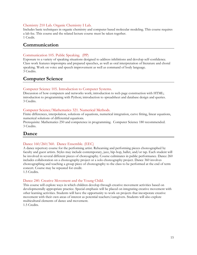#### Chemistry 210 Lab. Organic Chemistry I Lab.

Includes basic techniques in organic chemistry and computer based molecular modeling. This course requires a lab fee. This course and the related lecture course must be taken together. 1 Credit.

# <span id="page-14-0"></span>**Communication**

#### Communication 105. Public Speaking. (PP)

Exposure to a variety of speaking situations designed to address inhibitions and develop self-confidence. Class work features impromptu and prepared speeches, as well as oral interpretation of literature and choral speaking. Work on voice and speech improvement as well as command of body language. 3 Credits.

# <span id="page-14-1"></span>**Computer Science**

#### Computer Science 105. Introduction to Computer Systems.

Discussion of how computers and networks work; introduction to web page construction with HTML; introduction to programming with Python; introduction to spreadsheet and database design and queries. 3 Credits.

#### Computer Science/Mathematics 321. Numerical Methods.

Finite differences, interpolation, solutions of equations, numerical integration, curve fitting, linear equations, numerical solutions of differential equations.

Prerequisite: Mathematics 250 and competence in programming. Computer Science 180 recommended. 3 Credits.

# <span id="page-14-2"></span>**Dance**

#### Dance 160/260/360. Dance Ensemble. (EEC)

A dance repertory course for the performing artist. Rehearsing and performing pieces choreographed by faculty and guest artists. Styles may include contemporary, jazz, hip-hop, ballet, and/or tap. Each student will be involved in several different pieces of choreography. Course culminates in public performance. Dance 260 includes collaboration on a choreography project or a solo choreography project. Dance 360 involves choreographing and teaching a group piece of choreography to the class to be performed at the end of term concert. Course may be repeated for credit.

1.5 Credits.

#### Dance 240. Creative Movement and the Young Child.

This course will explore ways in which children develop through creative movement activities based on developmentally appropriate practice. Special emphasis will be placed on integrating creative movement with other learning activities. Students will have the opportunity to work on projects that incorporate creative movement with their own areas of interest as potential teachers/caregivers. Students will also explore multicultural elements of dance and movement.

1.5 Credits.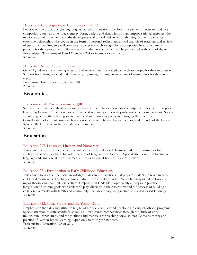#### Dance 332. Choreography & Composition. (EEC)

Focuses on the process of creating original dance compositions. Explores the elements necessary to dance composition, such as time, space, energy, form, design, and dynamics through improvisational exercises, the manipulation of movement, and the development of critical and analytical thinking. Students will write extensively throughout the course in the form of personal reflections, critical analysis of readings, and reviews of performances. Students will compose a solo piece of choreography, accompanied by a statement of purpose for their piece and a reflective essay on the process, which will be performed at the end of the term. Prerequisites: Two terms of Dan 131 and/or 231 or instructor's permission. 3 Credits.

#### Dance 493. Senior Literature Review.

General guidance in continuing research and review literature related to the chosen topic for the senior essay. Support for crafting a sound and interesting argument, resulting in an outline of main points for the senior essay.

Prerequisite: Interdisciplinary Studies 390. 2 Credits.

#### <span id="page-15-0"></span>**Economics**

#### Economics 131. Macroeconomics. (QR)

Study of the fundamentals of economic analysis with emphasis upon national output, employment, and price levels. Exploration of the monetary and financial system together with problems of economic stability. Special attention given to the role of government fiscal and monetary policy in managing the economy. Consideration of current issues such as economic growth, federal budget deficits, and the role of the Federal Reserve Bank. Course includes student-led seminars. 3 Credits.

#### <span id="page-15-1"></span>**Education**

#### Education 217. Language, Literacy, and Numeracy.

This course prepares students for their role in the early childhood classroom. Many opportunities for application of best practices. Includes theories of language development. Special attention given to emergent language and language-rich environments. Includes 1 credit hour of ELL instruction. 3 Credits.

#### Education 271. Introduction to Early Childhood Education.

This course focuses on the basic knowledges, skills and dispositions that prepare students to teach in early childhood classrooms. Teaching young children from a background of New Church spiritual philosophy, major theories and cultural perspectives. Emphasis on DAP (developmentally appropriate practice); integration of learning goals with children's play; diversity in the classroom; and the process of building a collaborative model with family and community. Includes theory and practice of Garden-based Learning. 3 Credits.

#### Education 322. Social Studies and the Young Child.

Emphasis on the skills and attitudes taught within social studies and developed in early childhood programs. Special attention to state standards as well as New Church competencies through the study of units, multicultural experiences, and the methods and materials for teaching social studies. Contains theory and practice of Garden-based Learning. Open only to third year students.

Prerequisites: Education 128 or 271.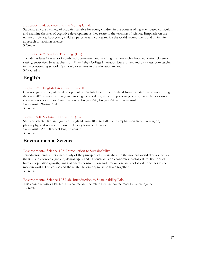#### Education 324. Science and the Young Child.

Students explore a variety of activities suitable for young children in the context of a garden-based curriculum and examine theories of cognitive development as they relate to the teaching of science. Emphasis on the nature of science, how young children perceive and conceptualize the world around them, and an inquiry approach to teaching science.

3 Credits.

#### Education 402. Student Teaching. (EE)

Includes at least 12 weeks of combined observation and teaching in an early childhood education classroom setting, supervised by a teacher from Bryn Athyn College Education Department and by a classroom teacher in the cooperating school. Open only to seniors in the education major. 3-12 Credits.

# <span id="page-16-0"></span>**English**

#### English 221. English Literature Survey II.

Chronological survey of the development of English literature in England from the late  $17<sup>th</sup>$  century through the early 20th century. Lecture, discussion, guest speakers, student reports or projects, research paper on a chosen period or author. Continuation of English 220; English 220 not prerequisite. Prerequisite: Writing 101. 3 Credits.

#### English 360. Victorian Literature. (IL)

Study of selected literary figures of England from 1830 to 1900, with emphasis on trends in religion, philosophy, and science, and on the literary form of the novel. Prerequisite: Any 200-level English course. 3 Credits.

# <span id="page-16-1"></span>**Environmental Science**

#### Environmental Science 105. Introduction to Sustainability.

Introductory cross-disciplinary study of the principles of sustainability in the modern world. Topics include: the limits to economic growth, demography and its constraints on economics, ecological implications of human population growth, limits of energy consumption and production, and ecological principles in the modern world. This course and the related laboratory must be taken together. 3 Credits.

#### Environmental Science 105 Lab. Introduction to Sustainability Lab.

This course requires a lab fee. This course and the related lecture course must be taken together. 1 Credit.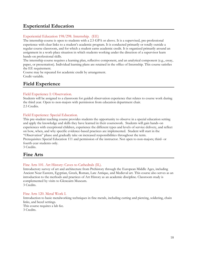# <span id="page-17-0"></span>**Experiential Education**

#### Experiential Education 198/298. Internship. (EE)

The internship course is open to students with a 2.5 GPA or above. It is a supervised, pre-professional experience with clear links to a student's academic program. It is conducted primarily or totally outside a regular course classroom, and for which a student earns academic credit. It is organized primarily around an assignment in a work-place situation in which students working under the direction of a supervisor learn hands-on professional skills.

The internship course requires a learning plan, reflective component, and an analytical component (e.g., essay, paper, or presentation). Individual learning plans are retained in the office of Internship. This course satisfies the EE requirement.

Course may be repeated for academic credit by arrangement. Credit variable.

# <span id="page-17-1"></span>**Field Experience**

#### Field Experience I: Observation.

Students will be assigned to a classroom for guided observation experience that relates to course work during the third year. Open to non-majors with permission from education department chair. 2.5 Credits.

#### Field Experience: Special Education.

This pre-student teaching course provides students the opportunity to observe in a special education setting and apply the knowledge and skills they have learned in their coursework. Students will gain hands-on experiences with exceptional children, experience the different types and levels of service delivery, and reflect on how, when, and why specific evidence-based practices are implemented. Student will start in the "Observation" phase and gradually take on increased responsibilities throughout the term. Prerequisites: Special Education 111 and permission of the instructor. Not open to non-majors; third- or fourth-year students only.

3 Credits.

# <span id="page-17-2"></span>**Fine Arts**

#### Fine Arts 101. Art History: Caves to Cathedrals (IL).

Introductory survey of art and architecture from Prehistory through the European Middle Ages, including Ancient Near Eastern, Egyptian, Greek, Roman, Late Antique, and Medieval art. This course also serves as an introduction to the methods and practices of Art History as an academic discipline. Classroom study is complemented by visits to Glencairn Museum. 3 Credits.

#### Fine Arts 120. Metal Work I.

Introduction to basic metalworking techniques in fine metals, including cutting and piercing, soldering, chain links, and bezel settings. This course requires a lab fee. 3 Credits.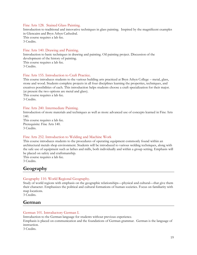#### Fine Arts 128. Stained Glass Painting.

Introduction to traditional and innovative techniques in glass painting. Inspired by the magnificent examples in Glencairn and Bryn Athyn Cathedral. This course requires a lab fee. 3 Credits.

#### Fine Arts 140. Drawing and Painting.

Introduction to basic techniques in drawing and painting. Oil painting project. Discussion of the development of the history of painting. This course requires a lab fee. 3 Credits.

#### Fine Arts 155. Introduction to Craft Practice.

This course introduces students to the various building arts practiced at Bryn Athyn College – metal, glass, stone and wood. Students complete projects in all four disciplines learning the properties, techniques, and creatives possibilities of each. This introduction helps students choose a craft specialization for their major. (at present the two options are metal and glass). This course requires a lab fee.

3 Credits.

#### Fine Arts 240. Intermediate Painting.

Introduction of more materials and techniques as well as more advanced use of concepts learned in Fine Arts 140.

This course requires a lab fee. Prerequisite: Fine Arts 140. 3 Credits.

#### Fine Arts 252. Introduction to Welding and Machine Work

This course introduces students to the procedures of operating equipment commonly found within an architectural metals shop environment. Students will be introduced to various welding techniques, along with the safe use of equipment such as lathes and mills, both individually and within a group setting. Emphasis will be placed on safety and craftsmanship.

This course requires a lab fee.

3 Credits.

# <span id="page-18-0"></span>**Geography**

#### Geography 110. World Regional Geography.

Study of world regions with emphasis on the geographic relationships—physical and cultural—that give them their character. Emphasizes the political and cultural formations of human societies. Focus on familiarity with map locations.

3 Credits.

# <span id="page-18-1"></span>**German**

#### German 101. Introductory German I.

Introduction to the German language for students without previous experience.

Emphasis is placed on communication and the foundations of German grammar. German is the language of instruction.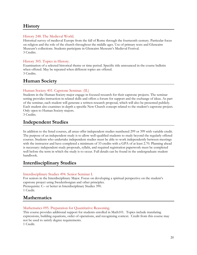# <span id="page-19-0"></span>**History**

#### History 248. The Medieval World.

Historical survey of medieval Europe from the fall of Rome through the fourteenth century. Particular focus on religion and the role of the church throughout the middle ages. Use of primary texts and Glencairn Museum's collections. Students participate in Glencairn Museum's Medieval Festival. 3 Credits.

#### History 305. Topics in History.

Examination of a selected historical theme or time period. Specific title announced in the course bulletin when offered. May be repeated when different topics are offered. 3 Credits.

# <span id="page-19-1"></span>**Human Society**

#### Human Society 401. Capstone Seminar. (IL)

Students in the Human Society major engage in focused research for their capstone projects. The seminar setting provides instruction in related skills and offers a forum for support and the exchange of ideas. As part of the seminar, each student will generate a written research proposal, which will also be presented publicly. Each student also examines in depth a specific New Church concept related to the student's capstone project. Only open to Human Society majors.

3 Credits.

# <span id="page-19-2"></span>**Independent Studies**

In addition to the listed courses, all areas offer independent studies numbered 299 or 399 with variable credit. The purpose of an independent study is to allow well-qualified students to study beyond the regularly offered courses. Students who undertake independent studies must be able to work independently between meetings with the instructor and have completed a minimum of 33 credits with a GPA of at least 2.70. Planning ahead is necessary: independent study proposals, syllabi, and required registration paperwork must be completed well before the term in which the study is to occur. Full details can be found in the undergraduate student handbook.

# <span id="page-19-3"></span>**Interdisciplinary Studies**

#### Interdisciplinary Studies 494. Senior Seminar I.

For seniors in the Interdisciplinary Major. Focus on developing a spiritual perspective on the student's capstone project using Swedenborgian and other principles. Prerequisite: C– or better in Interdisciplinary Studies 390. 1 Credit.

# <span id="page-19-4"></span>**Mathematics**

#### Mathematics 095. Preparation for Quantitative Reasoning.

This course provides additional support for students enrolled in Math101. Topics include translating expressions, building equations, order of operations, and recognizing context. Credit from this course may not be used to satisfy degree requirements.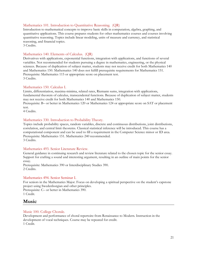#### Mathematics 101. Introduction to Quantitative Reasoning. (QR)

Introduction to mathematical concepts to improve basic skills in computation, algebra, graphing, and quantitative applications. This course prepares students for other mathematics courses and courses involving quantitative reasoning. Topics include linear modeling, units of measure and currency, and statistical reasoning, and financial topics.

3 Credits.

#### Mathematics 140. Elements of Calculus. (QR)

Derivatives with applications, exponential functions, integration with applications, and functions of several variables. Not recommended for students pursuing a degree in mathematics, engineering, or the physical sciences. Because of duplication of subject matter, students may not receive credit for both Mathematics 140 and Mathematics 150. Mathematics 140 does not fulfill prerequisite requirements for Mathematics 151. Prerequisite: Mathematics 115 or appropriate score on placement test. 3 Credits.

#### Mathematics 150. Calculus I.

Limits, differentiation, maxima-minima, related rates, Riemann sums, integration with applications, fundamental theorem of calculus, transcendental functions. Because of duplication of subject matter, students may not receive credit for both Mathematics 140 and Mathematics 150.

Prerequisite: B– or better in Mathematics 120 or Mathematics 124 or appropriate score on SAT or placement test.

4 Credits.

#### Mathematics 330. Introduction to Probability Theory.

Topics include probability spaces, random variables, discrete and continuous distributions, joint distributions, correlation, and central limit theorems. Classical statistical inference will be introduced. This course has a computational component and can be used to fill a requirement in the Computer Science minor or ID area. Prerequisite: Mathematics 151. Mathematics 240 recommended. 3 Credits.

#### Mathematics 493. Senior Literature Review.

General guidance in continuing research and review literature related to the chosen topic for the senior essay. Support for crafting a sound and interesting argument, resulting in an outline of main points for the senior essay.

Prerequisite: Mathematics 390 or Interdisciplinary Studies 390. 2 Credits.

#### Mathematics 494. Senior Seminar I.

For seniors in the Mathematics Major. Focus on developing a spiritual perspective on the student's capstone project using Swedenborgian and other principles. Prerequisite: C– or better in Mathematics 390.

1 Credit.

# <span id="page-20-0"></span>**Music**

#### Music 100. College Chorale.

Development and performance of choral repertoire from Renaissance to Modern. Instruction in the development of vocal techniques. Course may be repeated for credit. 1 Credit.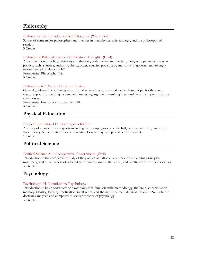# <span id="page-21-0"></span>**Philosophy**

#### Philosophy 102. Introduction to Philosophy. (Worldview)

Survey of some major philosophers and theories in metaphysics, epistemology, and the philosophy of religion.

3 Credits.

#### Philosophy/Political Science 220. Political Thought. (Civil)

A consideration of political thinkers and theories, both ancient and modern, along with perennial issues in politics, such as justice, authority, liberty, order, equality, power, law, and forms of government. Strongly recommended: Philosophy 101.

Prerequisite: Philosophy 102.

3 Credits.

#### Philosophy 493. Senior Literature Review.

General guidance in continuing research and review literature related to the chosen topic for the senior essay. Support for crafting a sound and interesting argument, resulting in an outline of main points for the senior essay.

Prerequisite: Interdisciplinary Studies 390. 3 Credits.

# <span id="page-21-1"></span>**Physical Education**

#### Physical Education 112. Team Sports for Fun.

A survey of a range of team sports including for example, soccer, volleyball, lacrosse, ultimate, basketball, floor hockey. Student interest accommodated. Course may be repeated once for credit. 1 Credit.

# <span id="page-21-2"></span>**Political Science**

#### Political Science 211. Comparative Government. (Civil)

Introduction to the comparative study of the politics of nations. Examines the underlying principles, machinery, and effectiveness of selected governments around the world, and ramifications for their societies. 3 Credits.

# <span id="page-21-3"></span>**Psychology**

#### Psychology 101. Introductory Psychology.

Introduction to basic constructs of psychology including scientific methodology, the brain, consciousness, memory, identity, learning, motivation, intelligence, and the nature of mental illness. Relevant New Church doctrines analyzed and compared to secular theories of psychology. 3 Credits.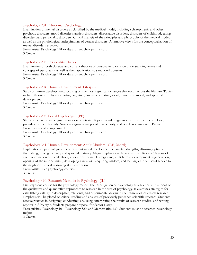#### Psychology 201. Abnormal Psychology.

Examination of mental disorders as classified by the medical model, including schizophrenia and other psychotic disorders, mood disorders, anxiety disorders, dissociative disorders, disorders of childhood, eating disorders, and personality disorders. Critical analysis of the principles and philosophy of the medical model, as well as the physiological underpinnings of certain disorders. Alternative views for the conceptualization of mental disorders explored.

Prerequisite: Psychology 101 or department chair permission. 3 Credits.

#### Psychology 203. Personality Theory.

Examination of both classical and current theories of personality. Focus on understanding terms and concepts of personality as well as their application to situational contexts. Prerequisite: Psychology 101 or department chair permission. 3 Credits.

#### Psychology 204. Human Development: Lifespan.

Study of human development, focusing on the most significant changes that occur across the lifespan. Topics include theories of physical-motor, cognitive, language, creative, social, emotional, moral, and spiritual development.

Prerequisite: Psychology 101 or department chair permission. 3 Credits.

#### Psychology 205. Social Psychology. (PP)

Study of behavior and cognition in social contexts. Topics include aggression, altruism, influence, love, prejudice, and conformity. Swedenborgian concepts of love, charity, and obedience analyzed. Public Presentation skills emphasized.

Prerequisite: Psychology 101 or department chair permission. 3 Credits.

#### Psychology 341. Human Development: Adult Altruism. (EE, Moral)

Exploration of psychological theories about moral development, character strengths, altruism, optimism, flourishing, flow, generosity and spiritual maturity. Major emphasis on the states of adults over 18 years of age. Examination of Swedenborgian doctrinal principles regarding adult human development: regeneration, opening of the rational mind, developing a new will, acquiring wisdom, and leading a life of useful service to the neighbor. Ethical reasoning skills emphasized.

Prerequisite: Two psychology courses.

3 Credits.

#### Psychology 490. Research Methods in Psychology. (IL)

First capstone course for the psychology major. The investigation of psychology as a science with a focus on the qualitative and quantitative approaches to research in the area of psychology. It examines strategies for establishing validity in descriptive, relational, and experimental design in the framework of ethical research. Emphasis will be placed on critical reading and analysis of previously published scientific research. Students receive practice in designing, conducting, analyzing, interpreting the results of research studies, and writing reports in APA style. Students prepare proposal for Senior Essay.

Prerequisites: Psychology 101, Psychology 320, and Mathematics 130. Students must be accepted psychology majors.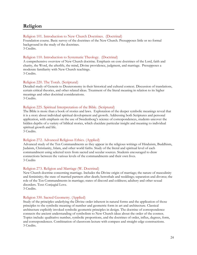# <span id="page-23-0"></span>**Religion**

#### Religion 101. Introduction to New Church Doctrines. (Doctrinal)

Foundation course. Basic survey of the doctrines of the New Church. Presupposes little or no formal background in the study of the doctrines. 3 Credits.

#### Religion 110. Introduction to Systematic Theology. (Doctrinal)

A comprehensive overview of New Church doctrine. Emphasis on core doctrines of the Lord, faith and charity, the Word, the afterlife, the mind, Divine providence, judgment, and marriage. Presupposes a moderate familiarity with New Church teachings. 3 Credits.

#### Religion 220. The Torah. (Scriptural)

Detailed study of Genesis to Deuteronomy in their historical and cultural context. Discussion of translations, certain critical theories, and other related ideas. Treatment of the literal meaning in relation to its higher meanings and other doctrinal considerations. 3 Credits.

#### Religion 225. Spiritual Interpretation of the Bible. (Scriptural)

The Bible is more than a book of stories and laws. Exploration of the deeper symbolic meanings reveal that it is a story about individual spiritual development and growth. Addressing both Scriptures and personal application, with emphasis on the use of Swedenborg's science of correspondences, students uncover the hidden depths of a variety of biblical stories, which elucidate particular insight and meaning to individual spiritual growth and life.

3 Credits.

#### Religion 272. Advanced Religious Ethics. (Applied)

Advanced study of the Ten Commandments as they appear in the religious writings of Hinduism, Buddhism, Judaism, Christianity, Islam, and other world faiths. Study of the literal and spiritual level of each commandment using selected texts from sacred and secular sources. Students encouraged to draw connections between the various levels of the commandments and their own lives. 3 Credits

#### Religion 273. Religion and Marriage (W. Doctrinal)

New Church doctrine concerning marriage. Includes the Divine origin of marriage; the nature of masculinity and femininity; the state of married partners after death; betrothals and weddings; separation and divorce; the role of the Ten Commandments in marriage; states of discord and coldness; adultery and other sexual disorders. Text: Conjugial Love.

3 Credits.

#### Religion 330. Sacred Geometry. (Applied)

Study of the principles underlying the Divine order inherent in natural forms and the application of those principles to the symbolic meaning of number and geometric form in art and architecture. Classical architecture explicitly invoked symbolic geometric principles in design. The doctrine of correspondence connects the ancient understanding of symbolism to New Church ideas about the order of the cosmos. Topics include: qualitative number, symbolic proportions, and the doctrines of order, influx, degrees, form, and correspondences. Combination of classroom lecture with compass and straight-edge constructions. 3 Credits.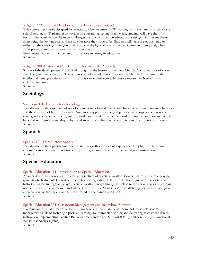#### Religion 372. Spiritual Development for Educators (Applied)

This course is primarily designed for educators who are currently (1) working in an elementary or secondary school setting, or (2) planning to work in an educational setting. Each week, students will have the opportunity to reflect on the many challenges that come up within educational settings that prevent them from being the loving, wise, and useful educators they hope to be. Students will have the opportunity to reflect on their feelings, thoughts, and actions in the light of one of the Ten Commandments and, when appropriate, share their experiences with classmates.

Prerequisite: Students must be juniors or seniors majoring in education 3 Credits.

#### Religion 380. History of New Church Doctrine. (IL, Applied)

Survey of the development of doctrinal thought in the history of the New Church. Considerations of various and divergent interpretations. The evolution of ideas and their impact on the Church. Reflection on the intellectual heritage of the Church from an historical perspective. Extensive research in New Church collateral literature.

3 Credits.

# <span id="page-24-0"></span>**Sociology**

#### Sociology 110. Introductory Sociology.

Introduction to the discipline of sociology and a sociological perspective for understanding human behaviors and the structure of human societies. Discussions apply a sociological perspective to topics such as social class, gender, race and ethnicity, culture, work, and social movements in order to understand how individual lives and social groups are shaped by social structures, cultural understandings and distributions of power. 3 Credits.

# <span id="page-24-1"></span>**Spanish**

#### Spanish 101. Introductory Spanish I

Introduction to the Spanish language for students without previous experience. Emphasis is placed on communication and the foundations of Spanish grammar. Spanish is the language of instruction. 3 Credits.

# <span id="page-24-2"></span>**Special Education**

#### Special Education 111. Introduction to Special Education.

An overview of key concepts, theories and practices of special education. Course begins with a role-playing game in which students learn about the milestone legislation, IDEA. Attention is given to the social and historical underpinnings of today's special education programming, as well as to the various types of learning needs in any given classroom. Students will learn to view "disabilities" from differing perspectives and gain appreciation for the variety of needs expressed in the human condition. 3 Credits.

#### Special Education 331. Classroom Management and Behavioral Support.

Examination of what it means to lead and manage a differentiated classroom. Addresses classroom management skills of fostering a positive learning environment; planning and delivering assessment-driven instruction; implementing Positive Behavior Intervention and Support (PBIS); and conducting a Functional Behavioral Analysis (FBA).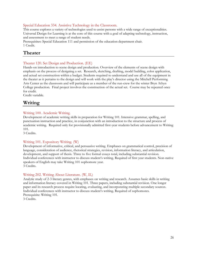#### Special Education 334. Assistive Technology in the Classroom.

This course explores a variety of technologies used to assist persons with a wide range of exceptionalities. Universal Design for Learning is at the core of this course with a goal of adapting technology, instruction, and assessment to meet a range of student needs.

Prerequisites: Special Education 111 and permission of the education department chair. 1 Credit.

# <span id="page-25-0"></span>**Theater**

#### Theater 120. Set Design and Production. (EE)

Hands-on introduction to scene design and production. Overview of the elements of scene design with emphasis on the process of designing a set. Research, sketching, drafting, model building, color application, and actual set construction within a budget. Students required to understand and use all of the equipment in the theater as it pertains to the design and will work with the play's director using the Mitchell Performing Arts Center as the classroom and will participate as a member of the run-crew for the winter Bryn Athyn College production. Final project involves the construction of the actual set. Course may be repeated once for credit.

Credit variable.

# <span id="page-25-1"></span>**Writing**

#### Writing 100. Academic Writing.

Development of academic writing skills in preparation for Writing 101. Intensive grammar, spelling, and punctuation instruction and practice, in conjunction with an introduction to the structure and process of academic writing. Required only for provisionally admitted first-year students before advancement to Writing 101.

3 Credits.

#### Writing 101. Expository Writing. (W)

Development of informative, critical, and persuasive writing. Emphases on grammatical control, precision of language, consideration of audience, rhetorical strategies, revision, information literacy, and articulation, development, and support of thesis. Three to five formal essays total, including substantial revision. Individual conferences with instructor to discuss student's writing. Required of first year students. Non-native speakers of English may take Writing 101 sophomore year. 3 Credits.

#### Writing 202. Writing About Literature. (W, IL)

Analytic study of 2-3 literary genres, with emphases on writing and research. Assumes basic skills in writing and information literacy covered in Writing 101. Three papers, including substantial revision. One longer paper and its research process require locating, evaluating, and incorporating multiple secondary sources. Individual conferences with instructor to discuss student's writing. Required of sophomores. Prerequisite: Writing 101. 3 Credits.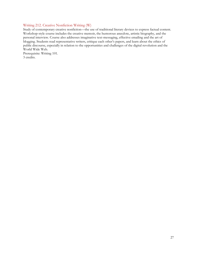#### Writing 212. Creative Nonfiction Writing (W)

Study of contemporary creative nonfiction—the use of traditional literary devices to express factual content. Workshop-style course includes the creative memoir, the humorous anecdote, artistic biography, and the personal interview. Course also addresses imaginative text-messaging, effective emailing and the art of blogging. Students read representative writers, critique each other's papers, and learn about the ethics of public discourse, especially in relation to the opportunities and challenges of the digital revolution and the World Wide Web.

Prerequisite: Writing 101. 3 credits.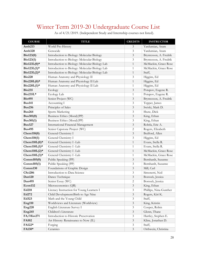# <span id="page-27-0"></span>Winter Term 2019-20 Undergraduate Course List

| <b>COURSE</b>       | <b>TITLE</b>                                   | <b>CREDITS</b> | <b>INSTRUCTOR</b>      |
|---------------------|------------------------------------------------|----------------|------------------------|
| Anth <sub>213</sub> | World Pre-History                              | 3              | Yardumian, Aram        |
| Anth <sub>320</sub> | Genocide                                       | 3              | Yardumian, Aram        |
| Bio123(0)           | Introduction to Biology: Molecular Biology     | 3              | Bryntesson, A. Fredrik |
| Bio123(1)           | Introduction to Biology: Molecular Biology     | 3              | Bryntesson, A. Fredrik |
| Bio123L(0)*         | Introduction to Biology: Molecular Biology Lab | $\mathbf{1}$   | McMackin, Grace Rose   |
| Bio123L(1)*         | Introduction to Biology: Molecular Biology Lab | $\mathbf{1}$   | McMackin, Grace Rose   |
| Bio123L(2)*         | Introduction to Biology: Molecular Biology Lab | $\mathbf{1}$   | Staff,                 |
| <b>Bio220</b>       | Human Anatomy and Physiology II                | 3              | Higgins, Ed            |
| $Bio220L(0)*$       | Human Anatomy and Physiology II Lab            | $\mathbf{1}$   | Higgins, Ed            |
| $Bio220L(1)*$       | Human Anatomy and Physiology II Lab            | $\mathbf{1}$   | Higgins, Ed            |
| <b>Bio235</b>       | Ecology                                        | 3              | Potapov, Eugene R.     |
| Bio235L*            | Ecology Lab                                    | 1              | Potapov, Eugene R.     |
| <b>Bio495</b>       | Senior Project (WC)                            | $\mathfrak{Z}$ | Bryntesson, A. Fredrik |
| <b>Bus141</b>       | Accounting I                                   | 3              | Tepper, James          |
| <b>Bus256</b>       | Principles of Sales                            | 3              | Swiski, Mark D.        |
| <b>Bus264</b>       | Sports Marketing                               | 3              | Shute, Dick            |
| <b>Bus301(0)</b>    | Business Ethics (Moral)(PP)                    | 3              | King, Ethan            |
| Bus301(1)           | Business Ethics (Moral)(PP)                    | 3              | King, Ethan            |
| <b>Bus327</b>       | <b>International Financial Management</b>      | 3              | Rohtla, Eric A.        |
| <b>Bus495</b>       | Senior Capstone Project (WC)                   | 2              | Rogers, Elizabeth      |
| Chem110(0)          | General Chemistry I                            | 3              | Bedford, Allen         |
| Chem110(1)          | General Chemistry I                            | 3              | Higgins, Ed            |
| Chem $110L(0)*$     | General Chemistry I -Lab                       | $\mathbf{1}$   | Evans, Stella R.       |
| $Chem110L(1)*$      | General Chemistry I -Lab                       | $\mathbf{1}$   | Evans, Stella R.       |
| Chem110 $L(2)$ *    | General Chemistry I -Lab                       | $\mathbf{1}$   | McMackin, Grace Rose   |
| Chem110 $L(3)*$     | General Chemistry I -Lab                       | $\mathbf{1}$   | McMackin, Grace Rose   |
| Common105(0)        | Public Speaking (PP)                           | 3              | Bernhardt, Suzanne     |
| Comm105(1)          | Public Speaking (PP)                           | 3              | Bernhardt, Suzanne     |
| Comm130             | Foundations of Graphic Design                  | 3              | Mill, Carl             |
| <b>CSci206</b>      | Introduction to Data Science                   | 3              | Simonetti, Neil        |
| Dan120              | Dance Technique                                | $\mathfrak{Z}$ | Bostock, Jessica       |
| Dan495              | Senior Essay (WC)                              | 2              | Bostock, Jessica       |
| Econ132             | Microeconomics (QR)                            | $\mathfrak{Z}$ | King, Ethan            |
| Ed218               | Literacy Instruction for Young Learners I      | $\mathfrak{Z}$ | Phillips, Nina Gunther |
| Ed272               | Child Development: Birth to Age Nine           | $\mathfrak{Z}$ | Rogers, Kiri K.        |
| Ed323               | Math and the Young Child                       | $\mathfrak{Z}$ | Staff,                 |
| Eng110              | Worldviews and Literature (Worldview)          | $\mathfrak{Z}$ | King, Kristin          |
| <b>Eng220</b>       | English Literature Survey I                    | $\mathfrak{Z}$ | Cooper, Robin          |
| Eng245              | Children's Literature                          | $\mathfrak{Z}$ | Glenn, Thane           |
| FA/Hist271          | Introduction to Historic Preservation          | $\mathfrak{Z}$ | Hartley, Stephen E.    |
| FA102               | Art History: Renaissance to Now (IL)           | $\mathfrak{Z}$ | Kline, Jonathan D.     |
| FA122*              | Forging                                        | $\mathfrak{Z}$ | Staff,                 |
| FA130*              | Ceramics                                       | $\mathfrak{Z}$ | Orthwein, Christina    |

As of 4/21/2019. (Independent Study and Internship courses not listed).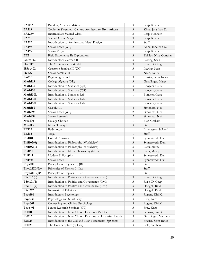| FA141*          | <b>Building Arts Foundation</b>                         | 3              | Leap, Kenneth          |
|-----------------|---------------------------------------------------------|----------------|------------------------|
| <b>FA213</b>    | Topics in Twentieth-Century Architecture: Bryn Athyn's  | 3              | Kline, Jonathan D.     |
| FA228*          | <b>Intermediate Stained Glass</b>                       | 3              | Leap, Kenneth          |
| FA278           | <b>Stained Glass Design</b>                             | 3              | Leap, Kenneth          |
| FA312           | Introduction to Architectural Metal Design              | 3              | Staff,                 |
| FA495           | Senior Essay (WC)                                       | 2              | Kline, Jonathan D.     |
| FA499           | Senior Project                                          | 1              | Leap, Kenneth          |
| FE2             | Field Experience II: Exploration                        | $\mathfrak{Z}$ | Phillips, Nina Gunther |
| Germ102         | Introductory German II                                  | 3              | Lawing, Sean           |
| Hist117         | The Contemporary World                                  | 3              | Rose, D. Greg          |
| <b>HSoc402</b>  | Capstone Seminar II (WC)                                | 3              | Lawing, Sean           |
| ID496           | Senior Seminar II                                       | $\mathbf{1}$   | Nash, Laura            |
| Lat110          | Beginning Latin I                                       | 3              | Frazier, Scott Innes   |
| Math115         | College Algebra (QR)                                    | 3              | Genzlinger, Maret      |
| Math130         | Introduction to Statistics (QR)                         | 3              | Bongers, Caira         |
| Math130         | Introduction to Statistics (QR)                         | 3              | Bongers, Caira         |
| Math130L        | Introduction to Statistics Lab                          | $\mathbf{1}$   | Bongers, Caira         |
| Math130L        | Introduction to Statistics Lab                          | $\mathbf{1}$   | Bongers, Caira         |
| Math130L        | Introduction to Statistics Lab                          | 1              | Bongers, Caira         |
| Math151         | Calculus II                                             | 4              | Simonetti, Neil        |
| Math495         | Senior Essay (WC)                                       | 2              | Simonetti, Neil        |
| Math499         | Senior Research                                         | $\overline{2}$ | Simonetti, Neil        |
| <b>Mus100</b>   | College Chorale                                         | 1              | Bier, Graham           |
| Mus113          | Music Theory I                                          | 3              | Staff,                 |
| <b>PE129</b>    | Badminton                                               | $\mathbf{1}$   | Bryntesson, Hilary J.  |
| <b>PE133</b>    | Yoga                                                    | $\mathbf{1}$   | Staff,                 |
| <b>Phil101</b>  | Critical Thinking                                       | 3              | Synnestvedt, Dan       |
| Phil102(0)      | Introduction to Philosophy (Worldview)                  | 3              | Synnestvedt, Dan       |
| Phil102(1)      | Introduction to Philosophy (Worldview)                  | 3              | Latta, Marcy           |
| <b>Phil111</b>  | Introduction to Moral Philosophy (Moral)                | 3              | Latta, Marcy           |
| <b>Phil211</b>  | Modern Philosophy                                       | 3              | Synnestvedt, Dan       |
| <b>Phil495</b>  | Senior Essay                                            | 3              | Synnestvedt, Dan       |
| Phys210         | Principles of Physics I (QR)                            | 3              | Staff,                 |
| Phys $210L(0)*$ | Principles of Physics I - Lab                           | $\mathbf{1}$   | Staff,                 |
| Phys $210L(1)*$ | Principles of Physics I - Lab                           | 1              | Staff,                 |
| PSci101(0)      | Introduction to Politics and Governance (Civil)         | $\mathfrak{Z}$ | Rose, D. Greg          |
| PSci101(1)      | Introduction to Politics and Governance (Civil)         | 3              | Rose, D. Greg          |
| PSci101(2)      | Introduction to Politics and Governance (Civil)         | 3              | Hodgell, Reid          |
| <b>PSci212</b>  | <b>International Relations</b>                          | 3              | Hodgell, Reid          |
| Psyc101         | <b>Introductory Psychology</b>                          | 3              | Rogers, Kiri K.        |
| Psyc230         | Psychology and Spirituality                             | 3              | Frey, Kurt             |
| <b>Psyc301</b>  | Counseling and Clinical Psychology                      | 3              | Rogers, Kiri K.        |
| <b>Psyc491</b>  | Senior Research Seminar (WC)                            | 3              | Frey, Kurt             |
| <b>Rel101</b>   | Introduction to New Church Doctrines (SpDoc)            | $\mathfrak{Z}$ | Schnarr, Grant         |
| <b>Rel115</b>   | Introduction to New Church Doctrine on Life After Death | 3              | Genzlinger, Matthew    |
| <b>Rel123</b>   | Introduction to the Old and New Testaments (SpScript)   | $\mathfrak{Z}$ | Frazier, Scott Innes   |
| <b>Rel125</b>   | The Holy Scripture (SpDoc)                              | $\mathfrak{Z}$ | Cole, Stephen          |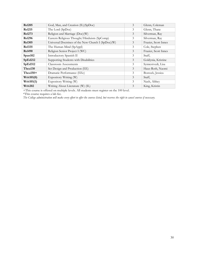| <b>Rel205</b>       | God, Man, and Creation (IL)(SpDoc)                 | 3 | Glenn, Coleman       |
|---------------------|----------------------------------------------------|---|----------------------|
| <b>Rel215</b>       | The Lord (SpDoc)                                   | 3 | Glenn, Thane         |
| <b>Rel273</b>       | Religion and Marriage (Doc)(W)                     | 3 | Silverman, Ray       |
| <b>Rel296</b>       | Eastern Religious Thought/Hinduism (SpComp)        | 3 | Silverman, Ray       |
| <b>Rel305</b>       | Universal Doctrines of the New Church I (SpDoc)(W) | 3 | Frazier, Scott Innes |
| <b>Rel335</b>       | The Human Mind (SpAppl)                            | 3 | Cole, Stephen        |
| <b>Rel490</b>       | Religion Senior Project I (WC)                     | 3 | Frazier, Scott Innes |
| Span102             | Introductory Spanish II                            | 3 | Staff,               |
| SpEd212             | Supporting Students with Disabilities              | 3 | Goldynia, Kristine   |
| SpEd312             | Classroom Assessments                              | 3 | Synnestvedt, Lisa    |
| Thea130             | Set Design and Production (EE)                     | 3 | Haus-Roth, Naomi     |
| $Thea150+$          | Dramatic Performance (EEc)                         | 3 | Bostock, Jessica     |
| Writ101(0)          | Expository Writing (W)                             | 3 | Staff,               |
| Writ101(1)          | Expository Writing (W)                             | 3 | Nash, Abbey          |
| Writ <sub>202</sub> | Writing About Literature (W) (IL)                  | 3 | King, Kristin        |

+This course is offered on multiple levels. All students must register on the 100 level.

\*This course requires a lab fee.

*The College administration will make every effort to offer the courses listed, but reserves the right to cancel courses if necessary.*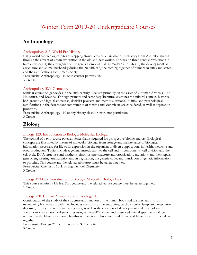# Winter Term 2019-20 Undergraduate Courses

# <span id="page-30-1"></span><span id="page-30-0"></span>**Anthropology**

#### Anthropology 213. World Pre-History.

Using world archaeological sites as stepping stones, creates a narrative of prehistory from Australopithecus through the advent of urban civilization in the old and new worlds. Focuses on three general revolutions in human history: 1) the emergence of the genus Homo with all its modern attributes; 2) the development of agriculture and animal husbandry during the Neolithic; 3) the coming together of humans in cities and states, and the ramifications for human society.

Prerequisite: Anthropology 110 or instructor permission. 3 Credits.

#### Anthropology 320. Genocide.

Seminar course on genocides in the 20th century. Focuses primarily on the cases of Ottoman Armenia, The Holocaust, and Rwanda. Through primary and secondary literature, examines the cultural context, historical background and legal frameworks, denialist projects, and memorializations. Political and psychological ramifications in the descendant communities of victims and victimizers are considered, as well as reparation processes.

Prerequisite: Anthropology 110 or any history class, or instructor permission. 3 Credits.

# <span id="page-30-2"></span>**Biology**

#### Biology 123. Introduction to Biology: Molecular Biology.

The second of a two-course gateway series that is required for prospective biology majors. Biological concepts are illustrated by means of molecular biology, from storage and maintenance of biological information necessary for life to its expression in the organism to diverse applications in health, medicine and food production. Topics include a general introduction to the cell and its components, cell division and the cell cycle, DNA structure and synthesis, chromosome structure and organization, mutations and their repair, genetic engineering, transcription and its regulation, the genetic code, and translation of genetic information to proteins. This course and the related laboratory must be taken together. Prerequisite: Chemistry 101L or High School Chemistry. 3 Credits.

#### Biology 123 Lab. Introduction to Biology: Molecular Biology Lab.

This course requires a lab fee. This course and the related lecture course must be taken together. 1 Credit.

#### Biology 220. Human Anatomy and Physiology II.

Continuation of the study of the structure and function of the human body and the mechanisms for maintaining homeostasis within it. Includes the study of the endocrine, cardiovascular, lymphatic, respiratory, digestive, urinary and reproductive systems, as well as the concepts of development and metabolism. Identification of anatomical structures using a "virtual" cadaver and preserved animal specimens will be required in the laboratory. Some hands-on dissection. This course and the related laboratory must be taken together.

Prerequisite: Biology 210 with a grade of "C" or better. 3 Credits.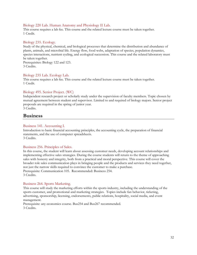#### Biology 220 Lab. Human Anatomy and Physiology II Lab.

This course requires a lab fee. This course and the related lecture course must be taken together. 1 Credit.

#### Biology 235. Ecology.

Study of the physical, chemical, and biological processes that determine the distribution and abundance of plants, animals, and microbial life. Energy flow, food webs, adaptation of species, population dynamics, species interactions, nutrient cycling, and ecological succession. This course and the related laboratory must be taken together.

Prerequisites: Biology 122 and 123. 3 Credits.

#### Biology 235 Lab. Ecology Lab.

This course requires a lab fee. This course and the related lecture course must be taken together. 1 Credit.

#### Biology 495. Senior Project. (WC)

Independent research project or scholarly study under the supervision of faculty members. Topic chosen by mutual agreement between student and supervisor. Limited to and required of biology majors. Senior project proposals are required in the spring of junior year. 3 Credits.

# <span id="page-31-0"></span>**Business**

#### Business 141. Accounting I.

Introduction to basic financial accounting principles, the accounting cycle, the preparation of financial statements, and the use of computer spreadsheets. 3 Credits.

#### Business 256. Principles of Sales.

In this course, the student will learn about assessing customer needs, developing account relationships and implementing effective sales strategies. During the course students will return to the theme of approaching sales with honesty and integrity, both from a practical and moral perspective. This course will cover the broader role sales communication plays in bringing people and the products and services they need together, not just the narrow skills required to convince the customer to make a purchase. Prerequisite: Communication 105. Recommended: Business 254. 3 Credits.

#### Business 264. Sports Marketing.

This course will study the marketing efforts within the sports industry, including the understanding of the sports customer, and promotional and marketing strategies. Topics include fan behavior, ticketing, advertising, sponsorship, licensing, endorsements, public relations, hospitality, social media, and event management.

Prerequisite: any economics course. Bus254 and Bus267 recommended. 3 Credits.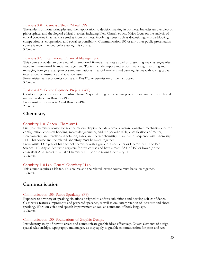#### Business 301. Business Ethics. (Moral, PP)

The analysis of moral principles and their application to decision making in business. Includes an overview of philosophical and theological ethical theories, including New Church ethics. Major focus on the analysis of ethical concerns in actual case studies from business, involving issues such as downsizing, whistle-blowing, competition vs. cooperation, and social responsibility. Communication 105 or any other public presentation course is recommended before taking this course. 3 Credits.

#### Business 327. International Financial Management.

This course provides an overview of international financial markets as well as presenting key challenges often faced in international financial management. Topics include import and export financing, measuring and managing foreign exchange exposure, international financial markets and banking, issues with raising capital internationally, insurance and taxation issues.

Prerequisites: any economics course and Bus320, or permission of the instructor. 3 Credits.

#### Business 495. Senior Capstone Project. (WC)

Capstone experience for the Interdisciplinary Major. Writing of the senior project based on the research and outline produced in Business 493.

Prerequisites: Business 493 and Business 494. 2 Credits.

# <span id="page-32-0"></span>**Chemistry**

#### Chemistry 110. General Chemistry I.

First year chemistry course for science majors. Topics include atomic structure, quantum mechanics, electron configuration, chemical bonding, molecular geometry, and the periodic table, classifications of matter, stoichiometry, and reactions in solution, gases, and thermochemistry. First half of sequence with Chemistry 111. This course and the related laboratory must be taken together.

Prerequisite: One year of high school chemistry with a grade of C or better or Chemistry 101 or Earth Science 110. Any student who registers for this course and have a math SAT of 450 or lower (or the equivalent ACT score) must take Chemistry 101 prior to taking Chemistry 110. 3 Credits.

#### Chemistry 110 Lab. General Chemistry I Lab.

This course requires a lab fee. This course and the related lecture course must be taken together. 1 Credit.

# <span id="page-32-1"></span>**Communication**

#### Communication 105. Public Speaking. (PP)

Exposure to a variety of speaking situations designed to address inhibitions and develop self-confidence. Class work features impromptu and prepared speeches, as well as oral interpretation of literature and choral speaking. Work on voice and speech improvement as well as command of body language. 3 Credits.

#### Communication 130. Foundations of Graphic Design.

Introductory study of how to create and communicate graphic ideas effectively. Covers elements of design, spatial relationships, typography, and imagery as they apply to graphic communication for print and web.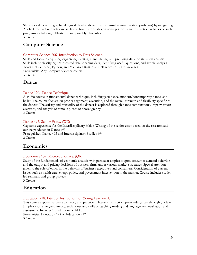Students will develop graphic design skills (the ability to solve visual communication problems) by integrating Adobe Creative Suite software skills and foundational design concepts. Software instruction in basics of such programs as InDesign, Illustrator and possibly Photoshop. 3 Credits.

# <span id="page-33-0"></span>**Computer Science**

#### Computer Science 206. Introduction to Data Science.

Skills and tools in acquiring, organizing, parsing, manipulating, and preparing data for statistical analysis. Skills include classifying unstructured data, cleaning data, identifying useful questions, and simple analysis. Tools include Excel, Python, and Microsoft Business Intelligence software packages. Prerequisite: Any Computer Science course. 3 Credits.

# <span id="page-33-1"></span>**Dance**

#### Dance 120. Dance Technique.

A studio course in fundamental dance technique, including jazz dance, modern/contemporary dance, and ballet. The course focuses on proper alignment, execution, and the overall strength and flexibility specific to the dancer. The artistry and musicality of the dancer is explored through dance combinations, improvisation exercises, and analysis of famous pieces of choreography. 3 Credits.

#### Dance 495. Senior Essay. (WC)

Capstone experience for the Interdisciplinary Major. Writing of the senior essay based on the research and outline produced in Dance 493.

Prerequisites: Dance 493 and Interdisciplinary Studies 494. 2 Credits.

# <span id="page-33-2"></span>**Economics**

#### Economics 132. Microeconomics. (QR)

Study of the fundamentals of economic analysis with particular emphasis upon consumer demand behavior and the output and pricing decisions of business firms under various market structures. Special attention given to the role of ethics in the behavior of business executives and consumers. Consideration of current issues such as health care, energy policy, and government intervention in the market. Course includes studentled seminars and group projects.

3 Credits.

# <span id="page-33-3"></span>**Education**

#### Education 218. Literacy Instruction for Young Learners I.

This course exposes students to theory and practice in literacy instruction, pre-kindergarten through grade 4. Emphasis on emergent literacy, techniques and skills of teaching reading and language arts, evaluation and assessment. Includes 1 credit hour of ELL.

Prerequisite: Education 128 or Education 217. 3 Credits.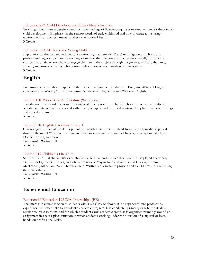#### Education 272. Child Development: Birth - Nine Year Olds.

Teachings about human development from the theology of Swedenborg are compared with major theories of child development. Emphasis on the sensory needs of early childhood and how to create a nurturing environment for physical, mental, and socio-emotional health. 3 Credits.

#### Education 323. Math and the Young Child.

Exploration of the content and methods of teaching mathematics Pre-K to 4th grade. Emphasis on a problem-solving approach to the teaching of math within the context of a developmentally appropriate curriculum. Students learn how to engage children in the subject through imaginative, musical, rhythmic, athletic, and artistic activities. This course is about how to teach math so it makes sense. 3 Credits.

# <span id="page-34-0"></span>**English**

Literature courses in this discipline fill the aesthetic requirement of the Core Program. 200-level English courses require Writing 101 as prerequisite. 300-level and higher require 200-level English.

#### English 110. Worldviews & Literature (Worldview).

Introduction to six worldviews in the context of literary texts. Emphasis on how characters with differing worldviews interact with others and with their geographic and historical contexts. Emphasis on close readings and critical analysis.

3 Credits.

#### English 220. English Literature Survey I.

Chronological survey of the development of English literature in England from the early medieval period through the mid-17th century. Lecture and discussion on such authors as Chaucer, Shakespeare, Marlowe, Donne, Jonson, and more. Prerequisite: Writing 101. 3 Credits.

#### English 245. Children's Literature.

Study of the textual characteristics of children's literature and the role this literature has played historically. Picture books, readers, stories, and adventure novels. May include authors such as Caxton, Grimm, MacDonald, Milne, and New Church writers. Written work includes projects and a children's story reflecting the trends studied. Prerequisite: Writing 101.

3 Credits.

### <span id="page-34-1"></span>**Experiential Education**

#### Experiential Education 198/298. Internship. (EE)

The internship course is open to students with a 2.5 GPA or above. It is a supervised, pre-professional experience with clear links to a student's academic program. It is conducted primarily or totally outside a regular course classroom, and for which a student earns academic credit. It is organized primarily around an assignment in a work-place situation in which students working under the direction of a supervisor learn hands-on professional skills.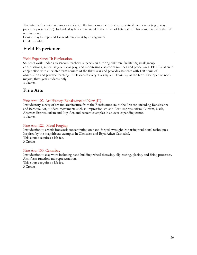The internship course requires a syllabus, reflective component, and an analytical component (e.g., essay, paper, or presentation). Individual syllabi are retained in the office of Internship. This course satisfies the EE requirement.

Course may be repeated for academic credit by arrangement. Credit variable.

# <span id="page-35-0"></span>**Field Experience**

#### Field Experience II: Exploration.

Students work under a classroom teacher's supervision tutoring children, facilitating small group conversations, supervising outdoor play, and monitoring classroom routines and procedures. FE II is taken in conjunction with all winter term courses of the third year and provides students with 120 hours of observation and practice teaching. FE II occurs every Tuesday and Thursday of the term. Not open to nonmajors; third-year students only.

3 Credits.

# <span id="page-35-1"></span>**Fine Arts**

#### Fine Arts 102. Art History: Renaissance to Now (IL).

Introductory survey of art and architecture from the Renaissance era to the Present, including Renaissance and Baroque Art, Modern movements such as Impressionism and Post-Impressionism, Cubism, Dada, Abstract Expressionism and Pop-Art, and current examples in an ever-expanding canon. 3 Credits.

#### Fine Arts 122. Metal Forging.

Introduction to artistic ironwork concentrating on hand-forged, wrought iron using traditional techniques. Inspired by the magnificent examples in Glencairn and Bryn Athyn Cathedral. This course requires a lab fee. 3 Credits.

#### Fine Arts 130. Ceramics.

Introduction to clay work including hand building, wheel throwing, slip casting, glazing, and firing processes. Also form function and representation.

This course requires a lab fee.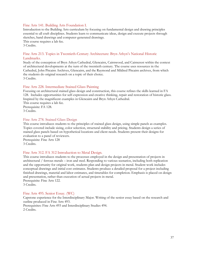#### Fine Arts 141. Building Arts Foundation I.

Introduction to the Building Arts curriculum by focusing on fundamental design and drawing principles essential to all craft disciplines. Students learn to communicate ideas, design and execute projects through sketches, hand drawings and computer-generated drawings.

This course requires a lab fee. 3 Credits.

#### Fine Arts 213. Topics in Twentieth-Century Architecture: Bryn Athyn's National Historic Landmarks.

Study of the conception of Bryn Athyn Cathedral, Glencairn, Cairnwood, and Cairncrest within the context of architectural developments at the turn of the twentieth century. The course uses resources in the Cathedral, John Pitcairn Archives, Glencairn, and the Raymond and Mildred Pitcairn archives, from which the students do original research on a topic of their choice. 3 Credits.

#### Fine Arts 228. Intermediate Stained Glass Painting

Focusing on architectural stained glass design and construction, this course refines the skills learned in FA 128. Includes opportunities for self-expression and creative thinking, repair and restoration of historic glass. Inspired by the magnificent examples in Glencairn and Bryn Athyn Cathedral. This course requires a lab fee. Prerequisite: FA 128. 3 Credits.

#### Fine Arts 278. Stained Glass Design

This course introduces students to the principles of stained glass design, using simple panels as examples. Topics covered include sizing, color selection, structural stability and pricing. Students design a series of stained glass panels based on hypothetical locations and client needs. Students present their designs for evaluation to a panel of reviewers.

Prerequisite: Fine Arts 128 3 Credits.

#### Fine Arts 312. FA 312 Introduction to Metal Design.

This course introduces students to the processes employed in the design and presentation of projects in architectural / ferrous metals – iron and steel. Responding to various scenarios, including both replication and the opportunity for original work, students plan and design projects in metal. Student work includes conceptual drawings and initial cost estimates. Students produce a detailed proposal for a project including finished drawings, material and labor estimates, and timetables for completion. Emphasis is placed on design and presentation, rather than execution of actual projects in metal. Prerequisite: Fine Arts 122.

3 Credits.

#### Fine Arts 495. Senior Essay. (WC)

Capstone experience for the Interdisciplinary Major. Writing of the senior essay based on the research and outline produced in Fine Arts 493. Prerequisites: Fine Arts 493 and Interdisciplinary Studies 494.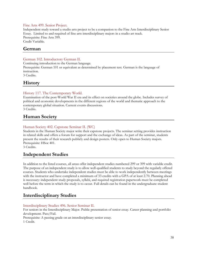#### Fine Arts 499. Senior Project.

Independent study toward a studio arts project to be a companion to the Fine Arts Interdisciplinary Senior Essay. Limited to and required of fine arts interdisciplinary majors in a studio art track. Prerequisite: Fine Arts 399. Credit Variable.

### <span id="page-37-0"></span>**German**

#### German 102. Introductory German II.

Continuing introduction to the German language.

Prerequisite: German 101 or equivalent as determined by placement test. German is the language of instruction.

3 Credits.

# <span id="page-37-1"></span>**History**

#### History 117. The Contemporary World.

Examination of the post-World War II era and its effect on societies around the globe. Includes survey of political and economic developments in the different regions of the world and thematic approach to the contemporary global situation. Current events discussions. 3 Credits.

# <span id="page-37-2"></span>**Human Society**

#### Human Society 402. Capstone Seminar II. (WC)

Students in the Human Society major write their capstone projects. The seminar setting provides instruction in related skills and offers a forum for support and the exchange of ideas. As part of the seminar, students present the results of their research publicly and design posters. Only open to Human Society majors. Prerequisite: HSoc 401.

3 Credits.

# <span id="page-37-3"></span>**Independent Studies**

In addition to the listed courses, all areas offer independent studies numbered 299 or 399 with variable credit. The purpose of an independent study is to allow well-qualified students to study beyond the regularly offered courses. Students who undertake independent studies must be able to work independently between meetings with the instructor and have completed a minimum of 33 credits with a GPA of at least 2.70. Planning ahead is necessary: independent study proposals, syllabi, and required registration paperwork must be completed well before the term in which the study is to occur. Full details can be found in the undergraduate student handbook.

# <span id="page-37-4"></span>**Interdisciplinary Studies**

#### Interdisciplinary Studies 496. Senior Seminar II.

For seniors in the Interdisciplinary Major. Public presentation of senior essay. Career planning and portfolio development. Pass/Fail.

Prerequisite: A passing grade on an interdisciplinary senior essay.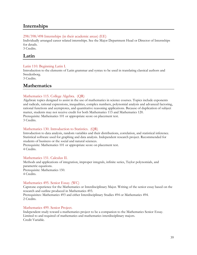# <span id="page-38-0"></span>**Internships**

#### 298/398/498 Internships (in their academic areas) (EE)

Individually arranged career related internships. See the Major Department Head or Director of Internships for details.

3 Credits.

### <span id="page-38-1"></span>**Latin**

#### Latin 110. Beginning Latin I.

Introduction to the elements of Latin grammar and syntax to be used in translating classical authors and Swedenborg.

3 Credits.

### <span id="page-38-2"></span>**Mathematics**

#### Mathematics 115. College Algebra. (QR)

Algebraic topics designed to assist in the use of mathematics in science courses. Topics include exponents and radicals, rational expressions, inequalities, complex numbers, polynomial analysis and advanced factoring, rational functions and asymptotes, and quantitative reasoning applications. Because of duplication of subject matter, students may not receive credit for both Mathematics 115 and Mathematics 120. Prerequisite: Mathematics 101 or appropriate score on placement test. 3 Credits.

#### Mathematics 130. Introduction to Statistics. (QR)

Introduction to data analysis, random variables and their distributions, correlation, and statistical inference. Statistical software used for graphing and data analysis. Independent research project. Recommended for students of business or the social and natural sciences.

Prerequisite: Mathematics 101 or appropriate score on placement test. 4 Credits.

#### Mathematics 151. Calculus II.

Methods and applications of integration, improper integrals, infinite series, Taylor polynomials, and parametric equations. Prerequisite: Mathematics 150. 4 Credits.

#### Mathematics 495. Senior Essay. (WC)

Capstone experience for the Mathematics or Interdisciplinary Major. Writing of the senior essay based on the research and outline produced in Mathematics 493.

Prerequisites: Mathematics 493 and either Interdisciplinary Studies 494 or Mathematics 494. 2 Credits.

#### Mathematics 499. Senior Project.

Independent study toward a mathematics project to be a companion to the Mathematics Senior Essay. Limited to and required of mathematics and mathematics interdisciplinary majors. Credit Variable.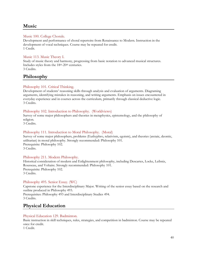# <span id="page-39-0"></span>**Music**

#### Music 100. College Chorale.

Development and performance of choral repertoire from Renaissance to Modern. Instruction in the development of vocal techniques. Course may be repeated for credit. 1 Credit.

#### Music 113. Music Theory I.

Study of music theory and harmony, progressing from basic notation to advanced musical structures. Includes styles from the 18<sup>th</sup>-20<sup>th</sup> centuries. 3 Credits.

# <span id="page-39-1"></span>**Philosophy**

#### Philosophy 101. Critical Thinking.

Development of students' reasoning skills through analysis and evaluation of arguments. Diagraming arguments, identifying mistakes in reasoning, and writing arguments. Emphasis on issues encountered in everyday experience and in courses across the curriculum, primarily through classical deductive logic. 3 Credits.

#### Philosophy 102. Introduction to Philosophy. (Worldviews)

Survey of some major philosophers and theories in metaphysics, epistemology, and the philosophy of religion.

3 Credits.

#### Philosophy 111. Introduction to Moral Philosophy. (Moral)

Survey of some major philosophers, problems (Euthyphro, relativism, egoism), and theories (aretaic, deontic, utilitarian) in moral philosophy. Strongly recommended: Philosophy 101. Prerequisite: Philosophy 102. 3 Credits.

#### Philosophy 211. Modern Philosophy.

Historical consideration of modern and Enlightenment philosophy, including Descartes, Locke, Leibniz, Rousseau, and Voltaire. Strongly recommended: Philosophy 101. Prerequisite: Philosophy 102. 3 Credits.

#### Philosophy 495. Senior Essay. (WC)

Capstone experience for the Interdisciplinary Major. Writing of the senior essay based on the research and outline produced in Philosophy 493. Prerequisites: Philosophy 493 and Interdisciplinary Studies 494. 3 Credits.

# <span id="page-39-2"></span>**Physical Education**

#### Physical Education 129. Badminton.

Basic instruction in skill techniques, rules, strategies, and competition in badminton. Course may be repeated once for credit.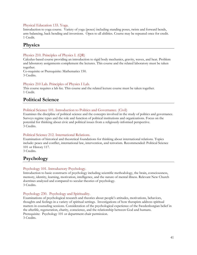#### Physical Education 133. Yoga.

Introduction to yoga course. Variety of yoga (poses) including standing poses, twists and forward bends, arm-balancing, back bending and inversions. Open to all abilities. Course may be repeated once for credit. 1 Credit.

# <span id="page-40-0"></span>**Physics**

#### Physics 210. Principles of Physics I. (QR)

Calculus-based course providing an introduction to rigid body mechanics, gravity, waves, and heat. Problem and laboratory assignments complement the lectures. This course and the related laboratory must be taken together.

Co-requisite or Prerequisite: Mathematics 150. 3 Credits.

#### Physics 210 Lab. Principles of Physics I Lab.

This course requires a lab fee. This course and the related lecture course must be taken together. 1 Credit.

# <span id="page-40-1"></span>**Political Science**

#### Political Science 101. Introduction to Politics and Governance. (Civil)

Examines the discipline of political science and the concepts involved in the study of politics and governance. Surveys regime types and the role and function of political institutions and organizations. Focus on the potential for thinking about civic and political issues from a religiously-informed perspective. 3 Credits.

#### Political Science 212. International Relations.

Examination of historical and theoretical foundations for thinking about international relations. Topics include: peace and conflict, international law, intervention, and terrorism. Recommended: Political Science 101 or History 117.

3 Credits.

# <span id="page-40-2"></span>**Psychology**

#### Psychology 101. Introductory Psychology.

Introduction to basic constructs of psychology including scientific methodology, the brain, consciousness, memory, identity, learning, motivation, intelligence, and the nature of mental illness. Relevant New Church doctrines analyzed and compared to secular theories of psychology. 3 Credits.

#### Psychology 230. Psychology and Spirituality.

Examinations of psychological research and theories about people's attitudes, motivations, behaviors, thoughts and feelings in a variety of spiritual settings. Investigations of how therapists address spiritual matters in counseling sessions. Consideration of the psychological experience of the Swedenborgian belief in the afterlife, regeneration, charity, conscience, and the relationship between God and humans. Prerequisite: Psychology 101 or department chair permission. 3 Credits.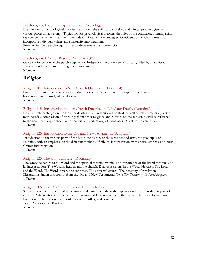#### Psychology 301. Counseling and Clinical Psychology.

Examination of psychological theories that inform the skills of counselors and clinical psychologists in various professional settings. Topics include psychological theories, the roles of the counselor, listening skills, case conceptualization, treatment methods and intervention strategies. Consideration of what it means to incorporate individual values and spirituality into treatment.

Prerequisite: Two psychology courses or department chair permission. 3 Credits.

#### Psychology 491. Senior Research Seminar. (WC)

Capstone for seniors in the psychology major. Independent work on Senior Essay guided by an advisor. Information Literacy and Writing Skills emphasized. 3 Credits.

# <span id="page-41-0"></span>**Religion**

#### Religion 101. Introduction to New Church Doctrines. (Doctrinal)

Foundation course. Basic survey of the doctrines of the New Church. Presupposes little or no formal background in the study of the doctrines.

3 Credits.

#### Religion 115. Introduction to New Church Doctrine on Life After Death. (Doctrinal)

New Church teachings on the life after death studied in their own context, as well as related material, which may include a comparison of teachings from other religions and cultures on the subject, as well as reference to the near death experience. Some version of Swedenborg's *Heaven and Hell* will be the central focus. 3 Credits.

#### Religion 123. Introduction to the Old and New Testaments. (Scriptural)

Introduction to the various parts of the Bible, the history of the Israelites and Jews, the geography of Palestine, with an emphasis on the different methods of biblical interpretation, with special emphasis on New Church interpretation.

3 Credits.

#### Religion 125. The Holy Scripture. (Doctrinal)

The symbolic nature of the Word and the spiritual meaning within. The importance of the literal meaning and its interpretation. The Word in heaven and the church. Dual expressions in the Word. Heresies. The Lord and the Word. The Word in very ancient times. The universal church. The necessity of revelation. Illustrations drawn throughout from the Old and New Testaments. Text: *The Doctrine of the Sacred Scripture*. 3 Credits.

#### Religion 205. God, Man, and Creation. (IL, Doctrinal)

Study of how the Lord created the spiritual and natural worlds, with emphasis on humans as the purpose of creation. Vital relationships between the Creator and His creation, with the special role played by humans. Focus on teaching about form, order, degrees, influx, and conjunction.

Text: *Divine Love and Wisdom*.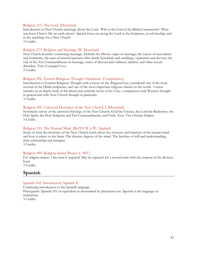#### Religion 215. The Lord. (Doctrinal)

Introduction to New Church teachings about the Lord. Who is the God of the Biblical testaments? What was Jesus Christ's life on earth about? Special focus on seeing the Lord in the Scriptures, in scholarship, and in the teachings for a New Church.

3 Credits.

#### Religion 273. Religion and Marriage (W. Doctrinal)

New Church doctrine concerning marriage. Includes the Divine origin of marriage; the nature of masculinity and femininity; the state of married partners after death; betrothals and weddings; separation and divorce; the role of the Ten Commandments in marriage; states of discord and coldness; adultery and other sexual disorders. Text: Conjugial Love.

3 Credits.

#### Religion 296. Eastern Religious Thought/Hinduism. (Comparative)

Introduction to Eastern Religious Thought with a focus on the *Bhagavad Gita*, considered one of the most revered of the Hindu scriptures, and one of the most important religious classics in the world. Course includes an in-depth study of the literal and symbolic levels of the *Gita*, a comparison with Western thought in general and with New Church thought in particular. 3 Credits.

#### Religion 305. Universal Doctrines of the New Church I. (Doctrinal)

Systematic survey of the universal theology of the New Church: God the Creator, the Lord the Redeemer, the Holy Spirit, the Holy Scripture and Ten Commandments, and Faith. Text: *True Christian Religion*. 3 Credits.

#### Religion 335. The Human Mind. (Rel335 W is W, Applied)

Study of what the doctrines of the New Church teach about the structure and function of the human mind and how it relates to the brain. The discrete degrees of the mind. The faculties of will and understanding, their relationship and interplay.

3 Credits.

#### Religion 490. Religion Senior Project I. (WC)

For religion majors. One term is required. May be repeated for a second term with the consent of the division head.

3 Credits.

### <span id="page-42-0"></span>**Spanish**

#### Spanish 102. Introductory Spanish II

Continuing introduction to the Spanish language. Prerequisite: Spanish 101 or equivalent as determined by placement test. Spanish is the language of instruction. 3 Credits.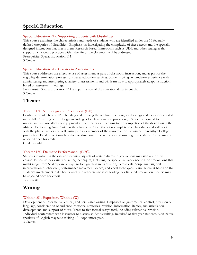# <span id="page-43-0"></span>**Special Education**

#### Special Education 212. Supporting Students with Disabilities.

This course examines the characteristics and needs of students who are identified under the 13 federally defined categories of disabilities. Emphasis on investigating the complexity of these needs and the specially designed instruction that meets them. Research-based frameworks such as UDL and other strategies that support inclusionary practices within the life of the classroom will be addressed. Prerequisite: Special Education 111.

3 Credits.

#### Special Education 312. Classroom Assessments.

This course addresses the effective use of assessment as part of classroom instruction, and as part of the eligibility determination process for special education services. Students will gain hands-on experience with administering and interpreting a variety of assessments and will learn how to appropriately adapt instruction based on assessment findings.

Prerequisite: Special Education 111 and permission of the education department chair. 3 Credits.

# <span id="page-43-1"></span>**Theater**

#### Theater 130. Set Design and Production. (EE)

Continuation of Theater 120: building and dressing the set from the designer drawings and elevations created in the fall. Finalizing of the design, including color elevations and prop design. Students required to understand and use all of the equipment in the theater as it pertains to the completion of the design using the Mitchell Performing Arts Center as the classroom. Once the set is complete, the class shifts and will work with the play's director and will participate as a member of the run-crew for the winter Bryn Athyn College production. Final project involves the construction of the actual set and running of the show. Course may be repeated once for credit.

Credit variable.

#### Theater 150. Dramatic Performance. (EEC)

Students involved in the casts or technical aspects of certain dramatic productions may sign up for this course. Exposure to a variety of acting techniques, including the specialized work needed for productions that might range from Shakespeare's plays, to foreign plays in translation, to musicals. Script analysis, oral interpretation of character, performance movement, dance, and vocal techniques. Variable credit based on the student's involvement. 5-12 hours weekly in rehearsals/classes leading to a finished production. Course may be repeated once for credit.

1-3 Credits.

# <span id="page-43-2"></span>**Writing**

#### Writing 101. Expository Writing. (W)

Development of informative, critical, and persuasive writing. Emphases on grammatical control, precision of language, consideration of audience, rhetorical strategies, revision, information literacy, and articulation, development, and support of thesis. Three to five formal essays total, including substantial revision. Individual conferences with instructor to discuss student's writing. Required of first year students. Non-native speakers of English may take Writing 101 sophomore year. 3 Credits.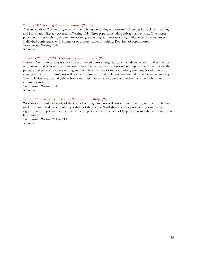#### Writing 202. Writing About Literature. (W, IL)

Analytic study of 2-3 literary genres, with emphases on writing and research. Assumes basic skills in writing and information literacy covered in Writing 101. Three papers, including substantial revision. One longer paper and its research process require locating, evaluating, and incorporating multiple secondary sources. Individual conferences with instructor to discuss student's writing. Required of sophomores. Prerequisite: Writing 101. 3 Credits.

#### Business/Writing 220. Business Communications. (W)

Business Communications is a workplace-oriented course designed to help students develop and refine the written and oral skills necessary to communicate effectively in professional settings. Students will review the purpose and style of business writing and complete a variety of focused writing exercises based on work settings and scenarios. Students will plan, compose, and analyze letters, memoranda, and electronic messages. They will also prepare and deliver brief oral presentations, collaborate with others, and revise business communication.

Prerequisite: Writing 101. 3 Credits.

#### Writing 311. Advanced Creative Writing Workshop. (W)

Workshop for in-depth study of the craft of writing. Students will concentrate on one genre (poetry, fiction, or drama) and produce a polished portfolio of their work. Workshop sessions provide opportunity for rigorous and supportive feedback on works in progress with the goal of helping class members produce their best writing.

Prerequisite: Writing 211 or 213. 3 Credits.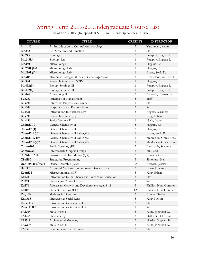# <span id="page-45-0"></span>Spring Term 2019-20 Undergraduate Course List

| <b>COURSE</b>    | <b>TITLE</b>                                         | <b>CREDITS</b>              | <b>INSTRUCTOR</b>      |
|------------------|------------------------------------------------------|-----------------------------|------------------------|
| Anth110          | An Introduction to Cultural Anthropology             | $\mathfrak{Z}$              | Yardumian, Aram        |
| <b>Bio232</b>    | Cell Structure and Function                          | 3                           | Staff,                 |
| <b>Bio245</b>    | Zoology                                              | 3                           | Potapov, Eugene R.     |
| Bio245L*         | Zoology Lab                                          | 1                           | Potapov, Eugene R.     |
| <b>Bio250</b>    | Microbiology                                         | 3                           | Higgins, Ed            |
| $Bio250L(0)*$    | Microbiology Lab                                     | 1                           | Higgins, Ed            |
| $Bio250L(1)*$    | Microbiology Lab                                     | $\mathbf{1}$                | Evans, Stella R.       |
| <b>Bio310</b>    | Molecular Biology: DNA and Gene Expression           | 3                           | Bryntesson, A. Fredrik |
| <b>Bio380</b>    | Research Seminar (IL)(PP)                            | $\,1\,$                     | Higgins, Ed            |
| Bio492(0)        | <b>Biology Seminar III</b>                           | $\mathbf{1}$                | Potapov, Eugene R.     |
| Bio492(1)        | Biology Seminar III                                  | $\mathbf{1}$                | Potapov, Eugene R.     |
| <b>Bus142</b>    | Accounting II                                        | 3                           | Waltrich, Christopher  |
| <b>Bus257</b>    | Principles of Management                             | 3                           | Staff                  |
| <b>Bus290</b>    | Internship Preparation Seminar                       | 1                           | Staff                  |
| <b>Bus302</b>    | Corporate Social Responsibility                      | $\ensuremath{\mathfrak{Z}}$ | Staff                  |
| <b>Bus351</b>    | Introduction to Business Law                         | 3                           | Rogers, Elizabeth      |
| <b>Bus390</b>    | Research Seminar(IL)                                 | $\overline{c}$              | King, Ethan            |
| <b>Bus496</b>    | Senior Seminar II                                    | $\mathbf{1}$                | Nash, Laura            |
| Chem111(0)       | General Chemistry II                                 | 3                           | Higgins, Ed            |
| Chem111(1)       | General Chemistry II                                 | 3                           | Higgins, Ed            |
| Chem111 $L(0)$ * | General Chemistry II Lab (QR)                        | $\mathbf{1}$                | Evans, Stella R.       |
| $Chem111L(1)*$   | General Chemistry II Lab (QR)                        | $\mathbf{1}$                | McMackin, Grace Rose   |
| Chem111L $(2)$ * | General Chemistry II Lab (QR)                        | $\mathbf{1}$                | McMackin, Grace Rose   |
| Common105        | Public Speaking (PP)                                 | 3                           | Bernhardt, Suzanne     |
| Comm230          | Intermediate Graphic Design                          | $\mathfrak{Z}$              | Mill, Carl             |
| CS/Math230       | Statistics and Data Mining (QR)                      | 3                           | Bongers, Caira         |
| <b>CSci180</b>   | Structured Programming                               | 3                           | Simonetti, Neil        |
| Dan160/260/360+  | Dance Ensemble (EEc)                                 | 1.5                         | Bostock, Jessica       |
| Dan331           | Advanced Modern Contemporary Dance (EEc)             | $\mathfrak{Z}$              | Bostock, Jessica       |
| Econ132          | Microeconomics (QR)                                  | 3                           | King, Ethan            |
| Ed128            | Introduction to the Theory and Practice of Education | $\mathfrak{Z}$              | Staff                  |
| Ed219            | Literacy for Young Learners II                       | 3                           | Staff                  |
| Ed274            | Adolescent Growth and Development: Ages 8-18         | $\mathfrak{Z}$              | Phillips, Nina Gunther |
| Ed402            | Student Teaching (EE)                                | 12                          | Phillips, Nina Gunther |
| Eng105           | Madness in Literature                                | $\mathfrak{Z}$              | Cooper, Robin          |
| Eng365           | Literature as Social Lens                            | 3                           | King, Kristin          |
| EnSci105         | Introduction to Sustainability                       | $\mathfrak{Z}$              | Staff                  |
| EnSci105L*       | Introduction to Sustainability                       | $\mathbf{1}$                | Staff                  |
| FA120*           | Metal Work I                                         | 3                           | Kline, Jonathan D.     |
| FA125*           | Photography                                          | 3                           | Orthwein, Christina    |
| FA151*           | Architectural Modeling                               | $\mathfrak{Z}$              | Hartley, Stephen E.    |
| FA220*           | Metal Work II                                        | 3                           | Kline, Jonathan D.     |
| FA232            | Computer Assisted Design                             | $\mathfrak{Z}$              | Staff                  |

As of 4/21/2019. (Independent Study and Internship courses not listed).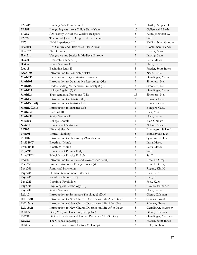| FA241*              | Building Arts Foundation II                             | 3                   | Hartley, Stephen E.             |
|---------------------|---------------------------------------------------------|---------------------|---------------------------------|
| FA251*              | Integrating Art into a Child's Early Years              | 1.5                 | Gyllenhaal, Martha              |
| FA282               | Art History: Art of the World's Religions               | 3                   | Kline, Jonathan D.              |
| FA322               | Traditional Joinery Design and Production               | $\mathfrak{Z}$      | Staff                           |
| FE3                 | Field Experience III                                    | 3                   | Phillips, Nina Gunther          |
| Hist160             | Art, Culture and History: Studies Abroad                | $\mathfrak{Z}$      | Closterman, Wendy               |
| Hist217             | Nazi Germany                                            | 3                   | Lawing, Sean                    |
| Hist311             | Vengeance and Justice in Medieval Europe                | $\mathfrak{Z}$      | Lawing, Sean                    |
| ID390               | Research Seminar (IL)                                   | 2                   | Latta, Marcy                    |
| ID496               | Senior Seminar II                                       | $\mathbf{1}$        | Nash, Laura                     |
| Lat111              | Beginning Latin II                                      | 3                   | Frazier, Scott Innes            |
| Lead130             | Introduction to Leadership (EE)                         | $\mathfrak{Z}$      | Nash, Laura                     |
| Math095             | Preparation for Quantitative Reasoning                  | $\mathbf{1}$        | Genzlinger, Maret               |
| Math101             | Introduction to Quantitative Reasoning (QR)             | 3                   | Simonetti, Neil                 |
| Math102             | Understanding Mathematics in Society (QR)               | 3                   | Simonetti, Neil                 |
| Math115             | College Algebra (QR)                                    | 3                   | Genzlinger, Maret               |
| Math124             | Transcendental Functions (QR)                           | 1.5                 | Simonetti, Neil                 |
| Math130             | Introduction to Statistics (QR)                         | 3                   | Bongers, Caira                  |
| Math130L(0)         | Introduction to Statistics Lab                          | 1                   | Bongers, Caira                  |
| Math130L(1)         | Introduction to Statistics Lab                          | $\mathbf{1}$        | Bongers, Caira                  |
| Math250             | Calculus III                                            | 3                   | Blair, Max                      |
| Math496             | Senior Seminar II                                       | $\mathbf{1}$        | Nash, Laura                     |
| <b>Mus100</b>       | College Chorale                                         | $\mathbf{1}$        | Bier, Graham                    |
| Nutr110             | Principles of Nutrition                                 | $\mathfrak{Z}$      | Nelson, Suzanne                 |
| <b>PE103</b>        | Life and Health                                         | $\mathbf{1}$        | Bryntesson, Hilary J.           |
| <b>Phil101</b>      | Critical Thinking                                       | 3                   | Synnestvedt, Dan                |
| <b>Phil102</b>      | Introduction to Philosophy (Worldview)                  | 3                   | Synnestvedt, Dan                |
| Phil340(0)          | Bioethics (Moral)                                       | $\mathfrak{Z}$      | Latta, Marcy                    |
| Phil340(1)          | Bioethics (Moral)                                       | 3                   | Latta, Marcy                    |
| Phys211             | Principles of Physics II (QR)                           | $\mathfrak{Z}$      | Staff                           |
| Phys211L*           | Principles of Physics II -Lab                           | $\mathbf{1}$        | Staff                           |
| <b>PSci101</b>      | Introduction to Politics and Governance (Civil)         | $\mathfrak{Z}$      | Rose, D. Greg                   |
| PSci232             | Issues in American Foreign Policy (W)                   | 3                   | Rose, D. Greg                   |
| P <sub>src201</sub> | Abnormal Psychology                                     | 3                   | Rogers, Kiri K.                 |
| Psyc204             | Human Development: Lifespan                             | 3<br>$\mathfrak{Z}$ | Frey, Kurt                      |
| Psyc205             | Social Psychology (PP)<br>Cognitive Psychology          |                     | Frey, Kurt                      |
| Psyc220<br>Psyc305  | Physiological Psychology (IL)                           | 3<br>3              | Frey, Kurt<br>Cavallo, Fernando |
| Psyc492             | Senior Seminar                                          | 1                   | Nash, Laura                     |
| <b>Rel110</b>       | Introduction to Systematic Theology (SpDoc)             | 3                   | Glenn, Coleman                  |
| Rel115(0)           | Introduction to New Church Doctrine on Life After Death | 3                   | Schnarr, Grant                  |
| Rel115(1)           | Introduction to New Church Doctrine on Life After Death | $\mathfrak{Z}$      | Schnarr, Grant                  |
| Rel115(2)           | Introduction to New Church Doctrine on Life After Death | 3                   | Genzlinger, Matthew             |
| <b>Rel205</b>       | God, Man, and Creation (IL)(SpDoc)                      | $\mathfrak{Z}$      | Glenn, Coleman                  |
| <b>Rel210</b>       | Divine Providence and Human Prudence (IL) (SpDoc)       | 3                   | Genzlinger, Matthew             |
| <b>Rel222</b>       | The Gospels (SpScript)                                  | 3                   | Frazier, Scott Innes            |
| <b>Rel283</b>       | Pre-Christian Church History (SpComp)                   | $\mathfrak{Z}$      | Cole, Stephen                   |
|                     |                                                         |                     |                                 |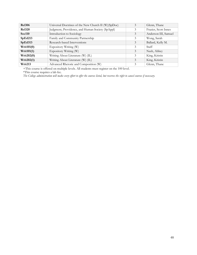| <b>Rel306</b>       | Universal Doctrines of the New Church II (W)(SpDoc) | 3 | Glenn, Thane         |
|---------------------|-----------------------------------------------------|---|----------------------|
| <b>Rel320</b>       | Judgment, Providence, and Human Society (SpAppl)    | 3 | Frazier, Scott Innes |
| Soc110              | Introduction to Sociology                           | 3 | Anderson III, Samuel |
| SpEd213             | Family and Community Partnership                    | 3 | Wong, Sarah          |
| SpEd313             | Research-based Interventions                        | 3 | Ballard, Kelly M.    |
| Writ101(0)          | Expository Writing (W)                              | 3 | <b>Staff</b>         |
| Writ101(1)          | Expository Writing (W)                              | 3 | Nash, Abbey          |
| Write202(0)         | Writing About Literature (W) (IL)                   | 3 | King, Kristin        |
| Writ202(1)          | Writing About Literature (W) (IL)                   | 3 | King, Kristin        |
| Writ <sub>213</sub> | Advanced Rhetoric and Composition (W)               | 3 | Glenn, Thane         |

+This course is offered on multiple levels. All students must register on the 100 level.

\*This course requires a lab fee.

*The College administration will make every effort to offer the courses listed, but reserves the right to cancel courses if necessary.*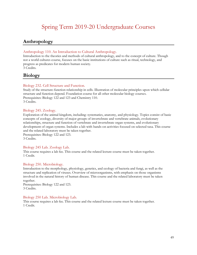# Spring Term 2019-20 Undergraduate Courses

# <span id="page-48-1"></span><span id="page-48-0"></span>**Anthropology**

#### Anthropology 110. An Introduction to Cultural Anthropology.

Introduction to the theories and methods of cultural anthropology, and to the concept of culture. Though not a world cultures course, focuses on the basic institutions of culture such as ritual, technology, and progress as predicates for modern human society. 3 Credits.

# <span id="page-48-2"></span>**Biology**

#### Biology 232. Cell Structure and Function.

Study of the structure-function relationship in cells. Illustration of molecular principles upon which cellular structure and function depend. Foundation course for all other molecular biology courses. Prerequisites: Biology 122 and 123 and Chemistry 110. 3 Credits.

#### Biology 245. Zoology.

Exploration of the animal kingdom, including: systematics, anatomy, and physiology. Topics consist of basic concepts of zoology, diversity of major groups of invertebrate and vertebrate animals, evolutionary relationships, structure and function of vertebrate and invertebrate organ systems, and evolutionary development of organ systems. Includes a lab with hands-on activities focused on selected taxa. This course and the related laboratory must be taken together.

Prerequisites: Biology 122 and 123. 3 Credits.

#### Biology 245 Lab. Zoology Lab.

This course requires a lab fee. This course and the related lecture course must be taken together. 1 Credit.

#### Biology 250. Microbiology.

Introduction to the morphology, physiology, genetics, and ecology of bacteria and fungi, as well as the structure and replication of viruses. Overview of microorganisms, with emphasis on those organisms involved in the natural history of human disease. This course and the related laboratory must be taken together.

Prerequisites: Biology 122 and 123. 3 Credits.

#### Biology 250 Lab. Microbiology Lab.

This course requires a lab fee. This course and the related lecture course must be taken together. 1 Credit.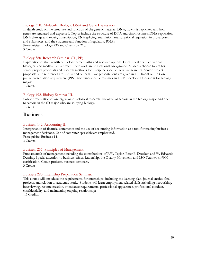#### Biology 310. Molecular Biology: DNA and Gene Expression.

In depth study on the structure and function of the genetic material, DNA, how it is replicated and how genes are regulated and expressed. Topics include the structure of DNA and chromosomes, DNA replication, DNA damage and repair, transcription, RNA splicing, translation, transcriptional regulation in prokaryotes and eukaryotes, and the structure and function of regulatory RNAs. Prerequisites: Biology 230 and Chemistry 210. 3 Credits.

#### Biology 380. Research Seminar. (IL, PP)

Exploration of the breadth of biology career paths and research options. Guest speakers from various biological and medical fields present their work and educational background. Students choose topics for senior project proposals and research methods for discipline specific literature searches. Senior project proposals with references are due by end of term. Two presentations are given in fulfillment of the Core public presentation requirement (PP). Discipline-specific resumes and C.V. developed. Course is for biology majors.

1 Credit.

#### Biology 492. Biology Seminar III.

Public presentation of undergraduate biological research. Required of seniors in the biology major and open to seniors in the ID major who are studying biology. 1 Credit.

# <span id="page-49-0"></span>**Business**

#### Business 142. Accounting II.

Interpretation of financial statements and the use of accounting information as a tool for making business management decisions. Use of computer spreadsheets emphasized. Prerequisite: Business 141. 3 Credits.

#### Business 257. Principles of Management.

Fundamentals of management including the contributions of F.W. Taylor, Peter F. Drucker, and W. Edwards Deming. Special attention to business ethics, leadership, the Quality Movement, and ISO Teamwork 9000 certification. Group projects, business seminars. 3 Credits.

#### Business 290. Internship Preparation Seminar.

This course will introduce the requirements for internships, including the learning plan, journal entries, final projects, and relation to academic study. Students will learn employment related skills including: networking, interviewing, resume creation, attendance requirements, professional appearance, professional conduct, confidentiality, and maintaining ongoing relationships. 1.5 Credits.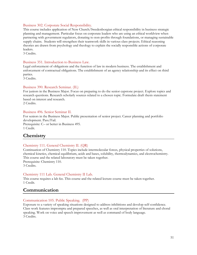#### Business 302. Corporate Social Responsibility.

This course includes application of New Church/Swedenborgian ethical responsibility in business strategic planning and management. Particular focus on corporate leaders who are using an ethical worldview when partnering with government regulators, donating to non-profits through foundations, or managing sustainable supply chains. Students will strengthen their teamwork skills in various class projects. Ethical reasoning theories are drawn from psychology and theology to explain the socially responsible actions of corporate leaders.

3 Credits.

#### Business 351. Introduction to Business Law.

Legal enforcement of obligations and the function of law in modern business. The establishment and enforcement of contractual obligations. The establishment of an agency relationship and its effect on third parties.

3 Credits.

#### Business 390. Research Seminar. (IL)

For juniors in the Business Major. Focus on preparing to do the senior capstone project. Explore topics and research questions. Research scholarly sources related to a chosen topic. Formulate draft thesis statement based on interest and research.

2 Credits.

#### Business 496. Senior Seminar II.

For seniors in the Business Major. Public presentation of senior project. Career planning and portfolio development. Pass/Fail. Prerequisite: C– or better in Business 495. 1 Credit.

# <span id="page-50-0"></span>**Chemistry**

#### Chemistry 111. General Chemistry II. (QR)

Continuation of Chemistry 110. Topics include intermolecular forces, physical properties of solutions, chemical kinetics, chemical equilibrium, acids and bases, solubility, thermodynamics, and electrochemistry. This course and the related laboratory must be taken together. Prerequisite: Chemistry 110.

3 Credits.

#### Chemistry 111 Lab. General Chemistry II Lab.

This course requires a lab fee. This course and the related lecture course must be taken together. 1 Credit.

### <span id="page-50-1"></span>**Communication**

#### Communication 105. Public Speaking. (PP)

Exposure to a variety of speaking situations designed to address inhibitions and develop self-confidence. Class work features impromptu and prepared speeches, as well as oral interpretation of literature and choral speaking. Work on voice and speech improvement as well as command of body language. 3 Credits.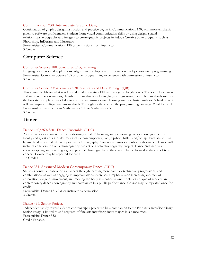#### Communication 230. Intermediate Graphic Design.

Continuation of graphic design instruction and practice begun in Communications 130, with more emphasis given to software proficiencies. Students hone visual communication skills by using design, spatial relationships, typography and imagery to create graphic projects in Adobe Creative Suite programs such as Photoshop, InDesign, and Illustrator.

Prerequisites: Communications 130 or permissions from instructor. 3 Credits.

# <span id="page-51-0"></span>**Computer Science**

#### Computer Science 180. Structured Programming.

Language elements and applications. Algorithm development. Introduction to object-oriented programming. Prerequisite: Computer Science 105 or other programming experience with permission of instructor. 3 Credits.

#### Computer Science/Mathematics 230. Statistics and Data Mining. (QR)

This course builds on what was learned in Mathematics 130 with an eye on big data sets. Topics include linear and multi regression analysis, classification methods including logistic regression, resampling methods such as the bootstrap, applications of decision trees, and unsupervised learning such as cluster analysis. A final project will encompass multiple analysis methods. Throughout the course, the programming language *R* will be used. Prerequisites: B- or better in Mathematics 130 or Mathematics 330. 3 Credits.

### <span id="page-51-1"></span>**Dance**

#### Dance 160/260/360. Dance Ensemble. (EEC)

A dance repertory course for the performing artist. Rehearsing and performing pieces choreographed by faculty and guest artists. Styles may include contemporary, jazz, hip-hop, ballet, and/or tap. Each student will be involved in several different pieces of choreography. Course culminates in public performance. Dance 260 includes collaboration on a choreography project or a solo choreography project. Dance 360 involves choreographing and teaching a group piece of choreography to the class to be performed at the end of term concert. Course may be repeated for credit. 1.5 Credits.

#### Dance 331. Advanced Modern Contemporary Dance. (EEC)

Students continue to develop as dancers through learning more complex technique, progressions, and combinations, as well as engaging in improvisational exercises. Emphasis is on increasing accuracy of articulation, range of movement, and moving the body as a cohesive unit. Includes critique of modern and contemporary dance choreography and culminates in a public performance. Course may be repeated once for credit.

Prerequisite: Dance 131/231 or instructor's permission. 3 Credits.

#### Dance 499. Senior Project.

Independent study toward a dance choreography project to be a companion to the Fine Arts Interdisciplinary Senior Essay. Limited to and required of fine arts interdisciplinary majors in a dance track. Prerequisite: Dance 332. Credit Variable.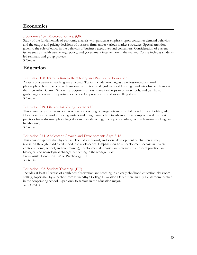# <span id="page-52-0"></span>**Economics**

#### Economics 132. Microeconomics. (QR)

Study of the fundamentals of economic analysis with particular emphasis upon consumer demand behavior and the output and pricing decisions of business firms under various market structures. Special attention given to the role of ethics in the behavior of business executives and consumers. Consideration of current issues such as health care, energy policy, and government intervention in the market. Course includes studentled seminars and group projects.

3 Credits.

# <span id="page-52-1"></span>**Education**

#### Education 128. Introduction to the Theory and Practice of Education.

Aspects of a career in teaching are explored. Topics include: teaching as a profession, educational philosophies, best practices in classroom instruction, and garden-based learning. Students observe classes at the Bryn Athyn Church School, participate in at least three field trips to other schools, and gain basic gardening experience. Opportunities to develop presentation and storytelling skills. 3 Credits.

#### Education 219. Literacy for Young Learners II.

This course prepares pre-service teachers for teaching language arts in early childhood (pre-K to 4th grade). How to assess the work of young writers and design instruction to advance their composition skills. Best practices for addressing phonological awareness, decoding, fluency, vocabulary, comprehension, spelling, and handwriting.

3 Credits.

#### Education 274. Adolescent Growth and Development: Ages 8-18.

This course explores the physical, intellectual, emotional, and social development of children as they transition through middle childhood into adolescence. Emphasis on how development occurs in diverse contexts (home, school, and community); developmental theories and research that inform practice; and biological and neurological changes happening in the teenage brain. Prerequisite: Education 128 or Psychology 101. 3 Credits.

#### Education 402. Student Teaching. (EE)

Includes at least 12 weeks of combined observation and teaching in an early childhood education classroom setting, supervised by a teacher from Bryn Athyn College Education Department and by a classroom teacher in the cooperating school. Open only to seniors in the education major. 3-12 Credits.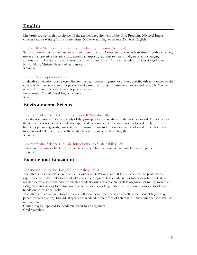# <span id="page-53-0"></span>**English**

Literature courses in this discipline fill the aesthetic requirement of the Core Program. 200-level English courses require Writing 101 as prerequisite. 300-level and higher require 200-level English.

#### English 105. Madness in Literature (Introductory Literature Seminar).

Study of how and why madness appears so often in fiction. Considerations include madness' symbolic values, use as a manipulative narrative tool, emotional impacts, relations to illness and genius, and changing appearances in literature from classical to contemporary works. Authors include Euripides, Gogol, Poe, Kafka, Plath, Christie, Palahniuk, and more. 3 Credits.

#### English 365. Topics in Literature.

In depth examination of a selected literary theme, movement, genre, or author. Specific title announced in the course bulletin when offered. Topics will make use of a professor's area of expertise and research. May be repeated for credit when different topics are offered. Prerequisite: Any 200-level English course.

3 credits.

### <span id="page-53-1"></span>**Environmental Science**

#### Environmental Science 105. Introduction to Sustainability.

Introductory cross-disciplinary study of the principles of sustainability in the modern world. Topics include: the limits to economic growth, demography and its constraints on economics, ecological implications of human population growth, limits of energy consumption and production, and ecological principles in the modern world. This course and the related laboratory must be taken together. 3 Credits.

#### Environmental Science 105 Lab. Introduction to Sustainability Lab.

This course requires a lab fee. This course and the related lecture course must be taken together. 1 Credit.

# <span id="page-53-2"></span>**Experiential Education**

#### Experiential Education 198/298. Internship. (EE)

The internship course is open to students with a 2.5 GPA or above. It is a supervised, pre-professional experience with clear links to a student's academic program. It is conducted primarily or totally outside a regular course classroom, and for which a student earns academic credit. It is organized primarily around an assignment in a work-place situation in which students working under the direction of a supervisor learn hands-on professional skills.

The internship course requires a syllabus, reflective component, and an analytical component (e.g., essay, paper, or presentation). Individual syllabi are retained in the office of Internship. This course satisfies the EE requirement.

Course may be repeated for academic credit by arrangement. Credit variable.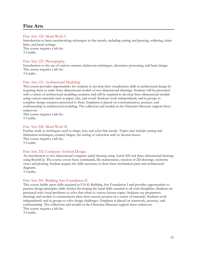# <span id="page-54-0"></span>**Fine Arts**

#### Fine Arts 120. Metal Work I.

Introduction to basic metalworking techniques in fine metals, including cutting and piercing, soldering, chain links, and bezel settings. This course requires a lab fee.

3 Credits.

#### Fine Arts 125. Photography.

Introduction to the use of various cameras, darkroom techniques, alternative processing, and basic design. This course requires a lab fee. 3 Credits.

#### Fine Arts 151. Architectural Modeling.

This course provides opportunities for students to develop their visualization skills in architectural design by requiring them to make three-dimensional models of two-dimensional drawings. Students will be presented with a variety of architectural modeling scenarios and will be required to develop three-dimensional models using various materials such as paper, clay, and wood. Students work independently and in groups to complete design scenarios presented to them. Emphasis is placed on communication, accuracy, and craftsmanship in architectural modeling. The collection and models in the Glencairn Museum support these endeavors.

This course requires a lab fee. 3 Credits.

#### Fine Arts 220. Metal Work II.

Further study in techniques used to shape, join, and color fine metals. Topics may include casting and fabrication techniques, enamel, hinges, the setting of cabochon and/or faceted stones. This course requires a lab fee. 3 Credits.

#### Fine Arts 232. Computer Assisted Design.

An introduction to two-dimensional computer aided drawing using AutoCAD and three-dimensional drawing using SketchUp. The course covers basic commands, file maintenance, creation of 2D drawings, isometric views and plotting. Student acquire the skills necessary to draw basic mechanical parts and architectural diagrams.

3 Credits.

#### Fine Arts 241. Building Arts Foundation II.

This course builds upon skills acquired in FA141 Building Arts Foundation I and provides opportunities to practice design principles while further developing the hand skills essential to all craft disciplines. Students are presented with visual problems to solve that relate to various lecture topics. Students use preparatory drawings and models to communicate ideas then execute projects in a variety of materials. Students work independently and in groups to solve design challenges. Emphasis is placed on teamwork, accuracy, and craftsmanship. The collections and models in the Glencairn Museum support these endeavors. This course requires a lab fee.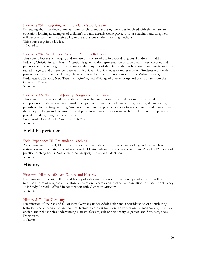#### Fine Arts 251. Integrating Art into a Child's Early Years.

By reading about the developmental states of children, discussing the issues involved with elementary art education, looking at examples of children's art, and actually doing projects, future teachers and caregivers will become confident in their ability to use art as one of their teaching methods. This course requires a lab fee. 1.5 Credits.

#### Fine Arts 282. Art History: Art of the World's Religions.

This course focuses on imagery and narrative in the art of the five world religions: Hinduism, Buddhism, Judaism, Christianity, and Islam. Attention is given to the representation of sacred narratives, theories and practices of representing various persons and/or aspects of the Divine, the prohibition of and justification for sacred imagery, and differences between aniconic and iconic modes of representation. Students work with primary source material, including religious texts (selections from translations of the Vishnu Purana, Buddhacarita, Tanakh, New Testament, Qur'an, and Writings of Swedenborg) and works of art from the Glencairn Museum.

3 Credits.

#### Fine Arts 322. Traditional Joinery Design and Production.

This course introduces students to the various techniques traditionally used to join ferrous metal components. Students learn traditional metal joinery techniques, including collars, riveting, slit and drifts, pass-throughs and forge welding. Students are required to produce various forms of joinery and demonstrate the ability to design and construct a metal piece from conceptual drawing to finished product. Emphasis is placed on safety, design and craftmanship.

Prerequisite: Fine Arts 122 and Fine Arts 222. 3 Credits.

# <span id="page-55-0"></span>**Field Experience**

#### Field Experience III: Pre-student Teaching.

A continuation of FE II, FE III gives students more independent practice in working with whole class instruction and integrating special needs and ELL students in their assigned classroom. Provides 120 hours of practice teaching hours. Not open to non-majors; third-year students only. 3 Credits.

# <span id="page-55-1"></span>**History**

#### Fine Arts/History 160. Art, Culture and History.

Examination of the art, culture, and history of a designated period and region. Special attention will be given to art as a form of religious and cultural expression. Serves as an intellectual foundation for Fine Arts/History 161: Study Abroad. Offered in conjunction with Glencairn Museum. 3 Credits.

#### History 217. Nazi Germany.

Examination of the rise and fall of Nazi Germany under Adolf Hitler and a consideration of contributing historical, social, economic, and political factors. Particular focus on the impact on German society, individual choice, and philosophies underpinning Nazism: fascism, cult of personality, eugenics, anti-Semitism, social Darwinism.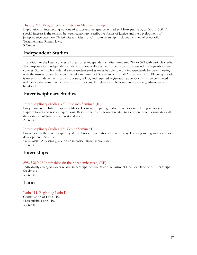#### History 311. Vengeance and Justice in Medieval Europe.

Exploration of intersecting notions of justice and vengeance in medieval European law, ca. 500 - 1500. Of special interest is the tension between customary, retributive forms of justice and the development of jurisprudence based on Christianity and ideals of Christian rulership. Includes a survey of select Old Testament and Roman laws.

3 Credits.

# <span id="page-56-0"></span>**Independent Studies**

In addition to the listed courses, all areas offer independent studies numbered 299 or 399 with variable credit. The purpose of an independent study is to allow well-qualified students to study beyond the regularly offered courses. Students who undertake independent studies must be able to work independently between meetings with the instructor and have completed a minimum of 33 credits with a GPA of at least 2.70. Planning ahead is necessary: independent study proposals, syllabi, and required registration paperwork must be completed well before the term in which the study is to occur. Full details can be found in the undergraduate student handbook.

# <span id="page-56-1"></span>**Interdisciplinary Studies**

#### Interdisciplinary Studies 390. Research Seminar. (IL)

For juniors in the Interdisciplinary Major. Focus on preparing to do the senior essay during senior year. Explore topics and research questions. Research scholarly sources related to a chosen topic. Formulate draft thesis statement based on interest and research.

2 Credits.

#### Interdisciplinary Studies 496. Senior Seminar II.

For seniors in the Interdisciplinary Major. Public presentation of senior essay. Career planning and portfolio development. Pass/Fail.

Prerequisite: A passing grade on an interdisciplinary senior essay. 1 Credit.

# <span id="page-56-2"></span>**Internships**

#### 298/398/498 Internships (in their academic areas) (EE)

Individually arranged career related internships. See the Major Department Head or Director of Internships for details.

3 Credits.

### <span id="page-56-3"></span>**Latin**

Latin 111. Beginning Latin II. Continuation of Latin 110. Prerequisite: Latin 110. 3 Credits.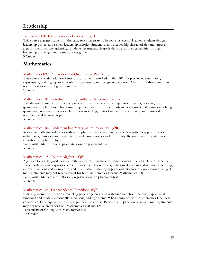# <span id="page-57-0"></span>**Leadership**

#### Leadership 130. Introduction to Leadership. (EE)

This course engages students in the basic tools necessary to become a successful leader. Students design a leadership project and review leadership theories. Students analyze leadership characteristics and target an area for their own strengthening. Students set measurable goals that stretch their capabilities through leadership challenges and homework assignments.

3 Credits.

# <span id="page-57-1"></span>**Mathematics**

#### Mathematics 095. Preparation for Quantitative Reasoning.

This course provides additional support for students enrolled in Math101. Topics include translating expressions, building equations, order of operations, and recognizing context. Credit from this course may not be used to satisfy degree requirements.

1 Credit.

#### Mathematics 101. Introduction to Quantitative Reasoning. (QR)

Introduction to mathematical concepts to improve basic skills in computation, algebra, graphing, and quantitative applications. This course prepares students for other mathematics courses and courses involving quantitative reasoning. Topics include linear modeling, units of measure and currency, and statistical reasoning, and financial topics.

3 Credits.

#### Mathematics 102. Understanding Mathematics in Society. (QR)

Review of mathematical topics with an emphasis on understanding why certain patterns appear. Topics include sets, number systems, geometry, and basic statistics and probability. Recommended for students in education and philosophy.

Prerequisite: Math 101 or appropriate score on placement test. 3 Credits.

#### Mathematics 115. College Algebra. (QR)

Algebraic topics designed to assist in the use of mathematics in science courses. Topics include exponents and radicals, rational expressions, inequalities, complex numbers, polynomial analysis and advanced factoring, rational functions and asymptotes, and quantitative reasoning applications. Because of duplication of subject matter, students may not receive credit for both Mathematics 115 and Mathematics 120. Prerequisite: Mathematics 101 or appropriate score on placement test. 3 Credits.

#### Mathematics 124. Transcendental Functions. (QR)

Basic trigonometric functions, modeling periodic phenomena with trigonometric functions, exponential functions and models, exponential equations, and logarithms. When combined with Mathematics 115, these courses would be equivalent to typical pre-calculus course. Because of duplication of subject matter, students may not receive credit for both Mathematics 120 and 124.

Prerequisite or Co-requisite: Mathematics 115.

1.5 Credits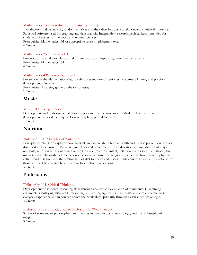#### Mathematics 130. Introduction to Statistics. (QR)

Introduction to data analysis, random variables and their distributions, correlation, and statistical inference. Statistical software used for graphing and data analysis. Independent research project. Recommended for students of business or the social and natural sciences. Prerequisite: Mathematics 101 or appropriate score on placement test.

4 Credits.

#### Mathematics 250. Calculus III.

Functions of several variables, partial differentiation, multiple integration, vector calculus. Prerequisite: Mathematics 151. 4 Credits.

#### Mathematics 496. Senior Seminar II.

For seniors in the Mathematics Major. Public presentation of senior essay. Career planning and portfolio development. Pass/Fail. Prerequisite: A passing grade on the senior essay. 1 Credit.

# <span id="page-58-0"></span>**Music**

#### Music 100. College Chorale.

Development and performance of choral repertoire from Renaissance to Modern. Instruction in the development of vocal techniques. Course may be repeated for credit. 1 Credit.

# <span id="page-58-1"></span>**Nutrition**

#### Nutrition 110. Principles of Nutrition.

Principles of Nutrition explores how nutrients in food relate to human health and disease prevention. Topics discussed include current US dietary guidelines and recommendations, digestion and metabolism of major nutrients, nutrition at various stages of the life cycle (maternal, infant, childhood, adolescent, adulthood, later maturity), the relationship of socioeconomic status, culture, and religious practices to food choices, physical activity and nutrition, and the relationship of diet to health and disease. This course is especially beneficial for those who will be entering health-care or food related professions. 3 Credits.

# <span id="page-58-2"></span>**Philosophy**

#### Philosophy 101. Critical Thinking.

Development of students' reasoning skills through analysis and evaluation of arguments. Diagraming arguments, identifying mistakes in reasoning, and writing arguments. Emphasis on issues encountered in everyday experience and in courses across the curriculum, primarily through classical deductive logic. 3 Credits.

#### Philosophy 102. Introduction to Philosophy. (Worldviews)

Survey of some major philosophers and theories in metaphysics, epistemology, and the philosophy of religion.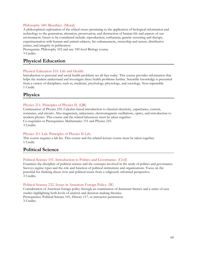#### Philosophy 340. Bioethics. (Moral)

A philosophical exploration of the ethical issues pertaining to the application of biological information and technology to the generation, alteration, preservation, and destruction of human life and aspects of our environment. Issues to be considered include: reproduction, euthanasia, genetic screening and therapy, experimentation with human and animal subjects, bio enhancement, ownership and nature, distributive justice, and integrity in publication.

Prerequisite: Philosophy 102 and any 100-level Biology course. 3 Credits.

# <span id="page-59-0"></span>**Physical Education**

#### Physical Education 103. Life and Health.

Introduction to personal and social health problems we all face today. This course provides information that helps the student understand and investigate these health problems further. Scientific knowledge is presented from a variety of disciplines, such as, medicine, psychology, physiology, and sociology. Non-repeatable. 1 Credit.

### <span id="page-59-1"></span>**Physics**

#### Physics 211. Principles of Physics II. (QR)

Continuation of Physics 210. Calculus-based introduction to classical electricity, capacitance, current, resistance, and circuits. Also magnetism, inductance, electromagnetic oscillations, optics, and introduction to modern physics. This course and the related laboratory must be taken together. Co-requisites or Prerequisites: Mathematics 151 and Physics 210. 3 Credits.

#### Physics 211 Lab. Principles of Physics II Lab.

This course requires a lab fee. This course and the related lecture course must be taken together. 1 Credit.

# <span id="page-59-2"></span>**Political Science**

#### Political Science 101. Introduction to Politics and Governance. (Civil)

Examines the discipline of political science and the concepts involved in the study of politics and governance. Surveys regime types and the role and function of political institutions and organizations. Focus on the potential for thinking about civic and political issues from a religiously-informed perspective. 3 Credits.

#### Political Science 232. Issues in American Foreign Policy. (W)

Consideration of American foreign policy through an examination of dominant themes and a series of case studies highlighting both levels of analysis and decision-making theories. Prerequisites: Political Science 101, History 117, or instructor permission. 3 Credits.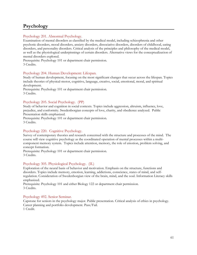# <span id="page-60-0"></span>**Psychology**

#### Psychology 201. Abnormal Psychology.

Examination of mental disorders as classified by the medical model, including schizophrenia and other psychotic disorders, mood disorders, anxiety disorders, dissociative disorders, disorders of childhood, eating disorders, and personality disorders. Critical analysis of the principles and philosophy of the medical model, as well as the physiological underpinnings of certain disorders. Alternative views for the conceptualization of mental disorders explored.

Prerequisite: Psychology 101 or department chair permission. 3 Credits.

#### Psychology 204. Human Development: Lifespan.

Study of human development, focusing on the most significant changes that occur across the lifespan. Topics include theories of physical-motor, cognitive, language, creative, social, emotional, moral, and spiritual development.

Prerequisite: Psychology 101 or department chair permission. 3 Credits.

#### Psychology 205. Social Psychology. (PP)

Study of behavior and cognition in social contexts. Topics include aggression, altruism, influence, love, prejudice, and conformity. Swedenborgian concepts of love, charity, and obedience analyzed. Public Presentation skills emphasized.

Prerequisite: Psychology 101 or department chair permission. 3 Credits.

#### Psychology 220. Cognitive Psychology.

Survey of contemporary theories and research concerned with the structure and processes of the mind. The course will view cognitive psychology as the coordinated operation of mental processes within a multicomponent memory system. Topics include attention, memory, the role of emotion, problem solving, and concept formation.

Prerequisite: Psychology 101 or department chair permission. 3 Credits.

#### Psychology 305. Physiological Psychology. (IL)

Exploration of the neural basis of behavior and motivation. Emphasis on the structure, functions and disorders. Topics include memory, emotion, learning, addictions, conscience, states of mind, and selfregulation. Consideration of Swedenborgian view of the brain, mind, and the soul. Information Literacy skills emphasized.

Prerequisite: Psychology 101 and either Biology 122 or department chair permission. 3 Credits.

#### Psychology 492. Senior Seminar.

Capstone for seniors in the psychology major. Public presentation. Critical analysis of ethics in psychology. Career planning and portfolio development. Pass/Fail. 1 Credit.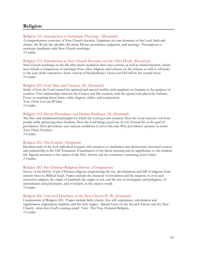# <span id="page-61-0"></span>**Religion**

#### Religion 110. Introduction to Systematic Theology. (Doctrinal)

A comprehensive overview of New Church doctrine. Emphasis on core doctrines of the Lord, faith and charity, the Word, the afterlife, the mind, Divine providence, judgment, and marriage. Presupposes a moderate familiarity with New Church teachings. 3 Credits.

#### Religion 115. Introduction to New Church Doctrine on Life After Death. (Doctrinal)

New Church teachings on the life after death studied in their own context, as well as related material, which may include a comparison of teachings from other religions and cultures on the subject, as well as reference to the near death experience. Some version of Swedenborg's *Heaven and Hell* will be the central focus. 3 Credits.

#### Religion 205. God, Man, and Creation. (IL, Doctrinal)

Study of how the Lord created the spiritual and natural worlds, with emphasis on humans as the purpose of creation. Vital relationships between the Creator and His creation, with the special role played by humans. Focus on teaching about form, order, degrees, influx, and conjunction. Text: *Divine Love and Wisdom*. 3 Credits.

#### Religion 210. Divine Providence and Human Prudence. (IL, Doctrinal)

The laws and fundamental principles by which the Lord governs creation. How the Lord removes evil from people while preserving their freedom. How the Lord brings good out of evil. Eternal life as the goal of providence. How providence uses natural conditions to serve this end. Why providence operates in secret. Text: *Divine Providence*.

3 Credits.

#### Religion 222. The Gospels. (Scriptural)

Detailed study of the four individual Gospels with attention to similarities and distinctions, historical context, and relationship to the Old Testament. Examination of the literal meaning and its significance to the modern life. Special attention to the nature of the First Advent and the testimony concerning Jesus Christ. 3 Credits.

#### Religion 283. Pre-Christian Religious History. (Comparative)

Survey of the history of pre-Christian religions emphasizing the rise, development, and fall of religions from ancient times to Biblical Israel. Topics include the character of revelation and the response to it in each successive religion, the origin of mankind, the origin of evil, and the rise of monogamy and polygamy, of monotheism and polytheism, and of idolatry in the ancient world. 3 Credits.

#### Religion 306. Universal Doctrines of the New Church II. (W, Doctrinal)

Continuation of Religion 305. Topics include faith, charity, free will, repentance, reformation and regeneration, imputation, baptism, and the holy supper. Special focus on the Second Advent and the New Church: what does God's coming entail? Text: The True Christian Religion. 3 Credits.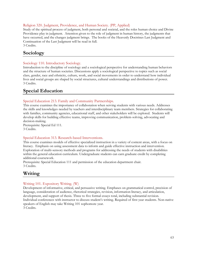#### Religion 320. Judgment, Providence, and Human Society. (PP, Applied)

Study of the spiritual process of judgment, both personal and societal, and the roles human choice and Divine Providence play in judgment. Attention given to the role of judgment in human history, the judgments that have occurred, and the changes judgment brings. The books of the Heavenly Doctrines Last Judgment and Continuation of the Last Judgment will be read in full. 3 Credits.

# <span id="page-62-0"></span>**Sociology**

#### Sociology 110. Introductory Sociology.

Introduction to the discipline of sociology and a sociological perspective for understanding human behaviors and the structure of human societies. Discussions apply a sociological perspective to topics such as social class, gender, race and ethnicity, culture, work, and social movements in order to understand how individual lives and social groups are shaped by social structures, cultural understandings and distributions of power. 3 Credits.

# <span id="page-62-1"></span>**Special Education**

#### Special Education 213. Family and Community Partnerships.

This course examines the importance of collaboration when serving students with various needs. Addresses the skills and knowledges needed by teachers and interdisciplinary team members. Strategies for collaborating with families, community agencies, educational staff, and other stakeholders will be explored. Students will develop skills for building effective teams, improving communication, problem-solving, advocating and decision-making.

Prerequisite: Special Ed 111. 3 Credits.

#### Special Education 313. Research-based Interventions.

This course examines models of effective specialized instruction in a variety of content areas, with a focus on literacy. Emphasis on using assessment data to inform and guide effective instruction and intervention. Exploration of multi-sensory methods and programs for addressing the needs of students with disabilities within the general education curriculum. Undergraduate students can earn graduate credit by completing additional coursework.

Prerequisite: Special Education 111 and permission of the education department chair. 3 Credits.

# <span id="page-62-2"></span>**Writing**

#### Writing 101. Expository Writing. (W)

Development of informative, critical, and persuasive writing. Emphases on grammatical control, precision of language, consideration of audience, rhetorical strategies, revision, information literacy, and articulation, development, and support of thesis. Three to five formal essays total, including substantial revision. Individual conferences with instructor to discuss student's writing. Required of first year students. Non-native speakers of English may take Writing 101 sophomore year. 3 Credits.